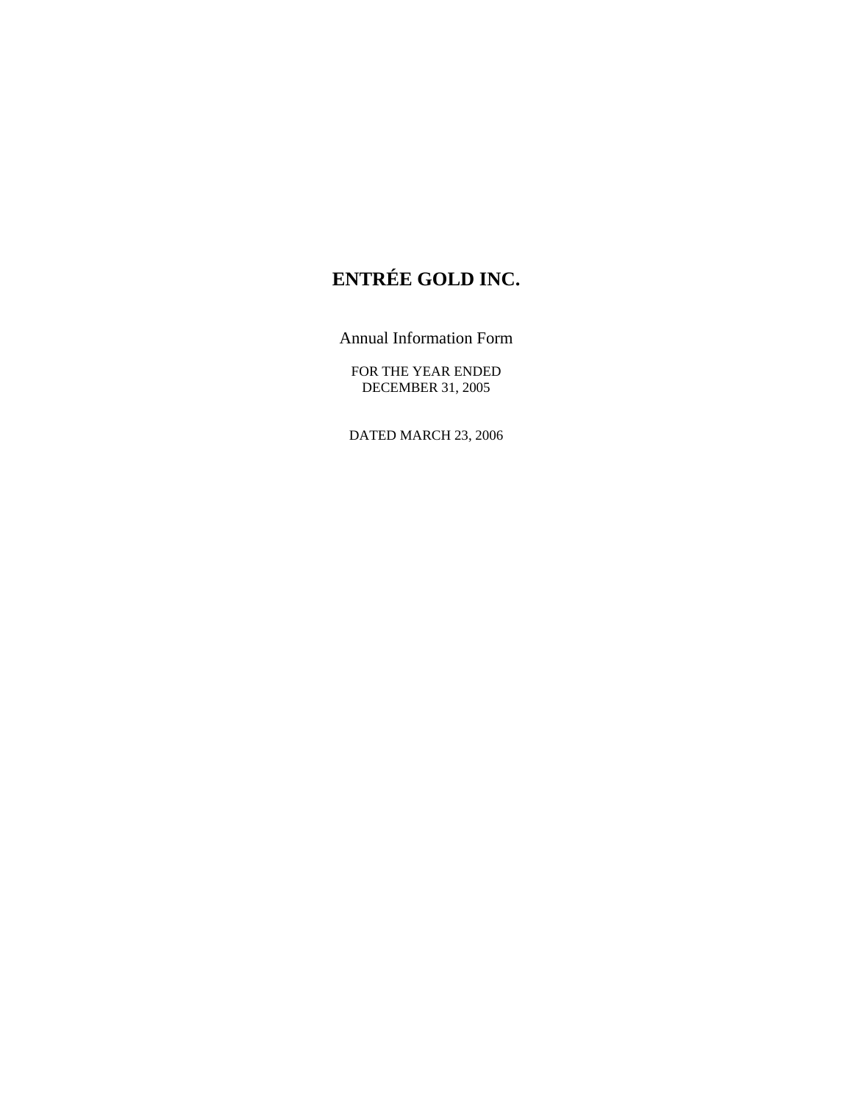# **ENTRÉE GOLD INC.**

Annual Information Form

FOR THE YEAR ENDED DECEMBER 31, 2005

DATED MARCH 23, 2006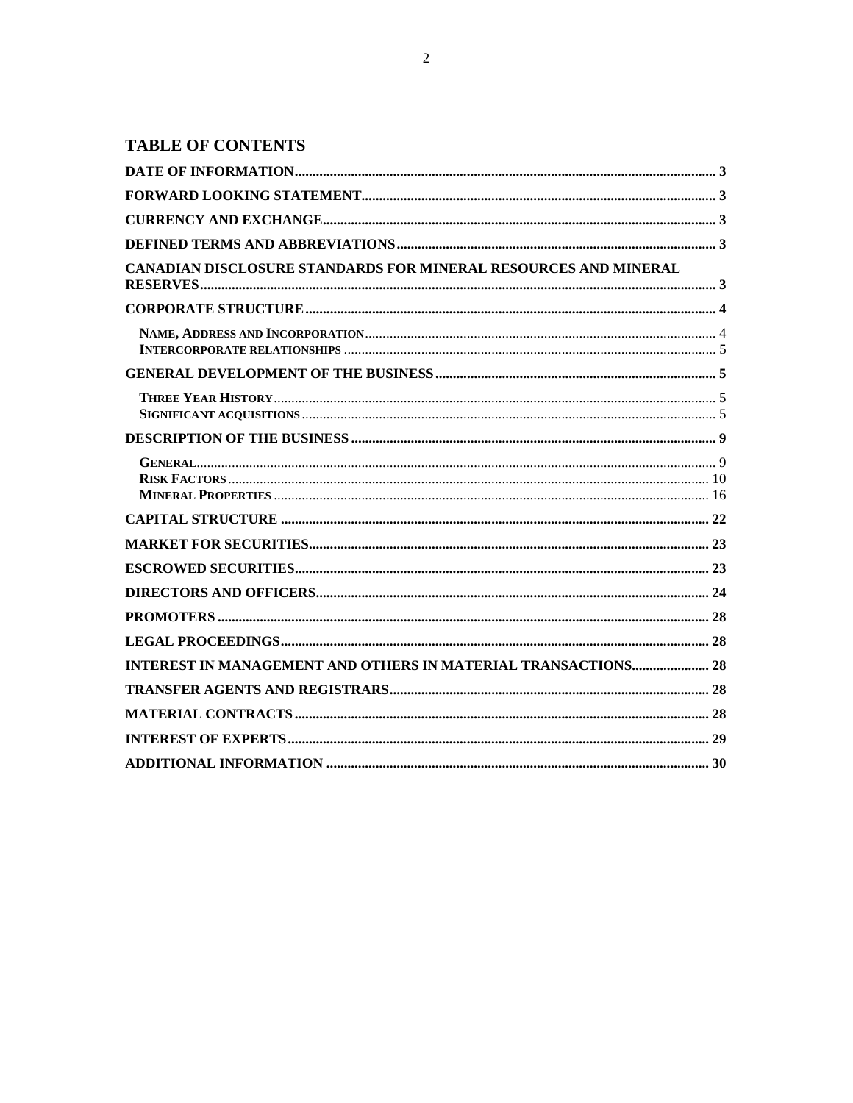| <b>CANADIAN DISCLOSURE STANDARDS FOR MINERAL RESOURCES AND MINERAL</b> |  |
|------------------------------------------------------------------------|--|
|                                                                        |  |
|                                                                        |  |
|                                                                        |  |
|                                                                        |  |
|                                                                        |  |
|                                                                        |  |
|                                                                        |  |
|                                                                        |  |
|                                                                        |  |
|                                                                        |  |
|                                                                        |  |
|                                                                        |  |
| INTEREST IN MANAGEMENT AND OTHERS IN MATERIAL TRANSACTIONS 28          |  |
|                                                                        |  |
|                                                                        |  |
|                                                                        |  |
|                                                                        |  |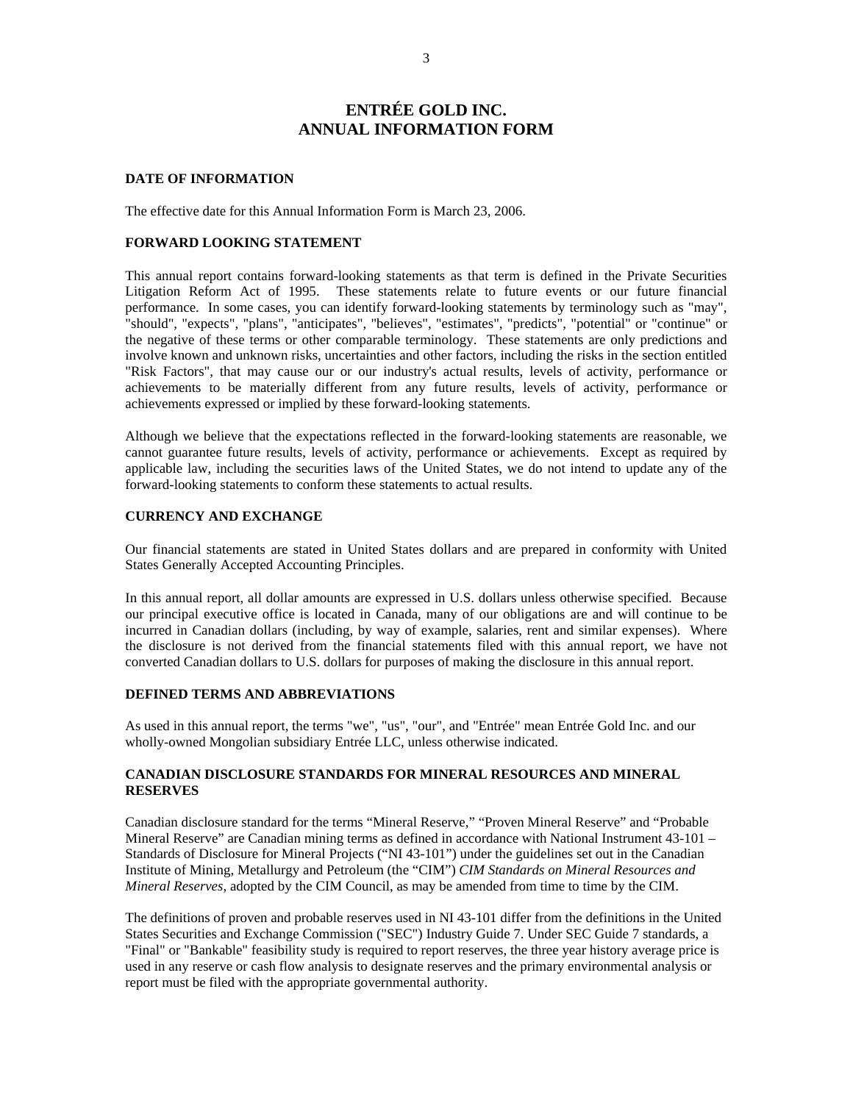# **ENTRÉE GOLD INC. ANNUAL INFORMATION FORM**

## **DATE OF INFORMATION**

The effective date for this Annual Information Form is March 23, 2006.

#### **FORWARD LOOKING STATEMENT**

This annual report contains forward-looking statements as that term is defined in the Private Securities Litigation Reform Act of 1995. These statements relate to future events or our future financial performance. In some cases, you can identify forward-looking statements by terminology such as "may", "should", "expects", "plans", "anticipates", "believes", "estimates", "predicts", "potential" or "continue" or the negative of these terms or other comparable terminology. These statements are only predictions and involve known and unknown risks, uncertainties and other factors, including the risks in the section entitled "Risk Factors", that may cause our or our industry's actual results, levels of activity, performance or achievements to be materially different from any future results, levels of activity, performance or achievements expressed or implied by these forward-looking statements.

Although we believe that the expectations reflected in the forward-looking statements are reasonable, we cannot guarantee future results, levels of activity, performance or achievements. Except as required by applicable law, including the securities laws of the United States, we do not intend to update any of the forward-looking statements to conform these statements to actual results.

# **CURRENCY AND EXCHANGE**

Our financial statements are stated in United States dollars and are prepared in conformity with United States Generally Accepted Accounting Principles.

In this annual report, all dollar amounts are expressed in U.S. dollars unless otherwise specified. Because our principal executive office is located in Canada, many of our obligations are and will continue to be incurred in Canadian dollars (including, by way of example, salaries, rent and similar expenses). Where the disclosure is not derived from the financial statements filed with this annual report, we have not converted Canadian dollars to U.S. dollars for purposes of making the disclosure in this annual report.

# **DEFINED TERMS AND ABBREVIATIONS**

As used in this annual report, the terms "we", "us", "our", and "Entrée" mean Entrée Gold Inc. and our wholly-owned Mongolian subsidiary Entrée LLC, unless otherwise indicated.

# **CANADIAN DISCLOSURE STANDARDS FOR MINERAL RESOURCES AND MINERAL RESERVES**

Canadian disclosure standard for the terms "Mineral Reserve," "Proven Mineral Reserve" and "Probable Mineral Reserve" are Canadian mining terms as defined in accordance with National Instrument 43-101 – Standards of Disclosure for Mineral Projects ("NI 43-101") under the guidelines set out in the Canadian Institute of Mining, Metallurgy and Petroleum (the "CIM") *CIM Standards on Mineral Resources and Mineral Reserves*, adopted by the CIM Council, as may be amended from time to time by the CIM.

The definitions of proven and probable reserves used in NI 43-101 differ from the definitions in the United States Securities and Exchange Commission ("SEC") Industry Guide 7. Under SEC Guide 7 standards, a "Final" or "Bankable" feasibility study is required to report reserves, the three year history average price is used in any reserve or cash flow analysis to designate reserves and the primary environmental analysis or report must be filed with the appropriate governmental authority.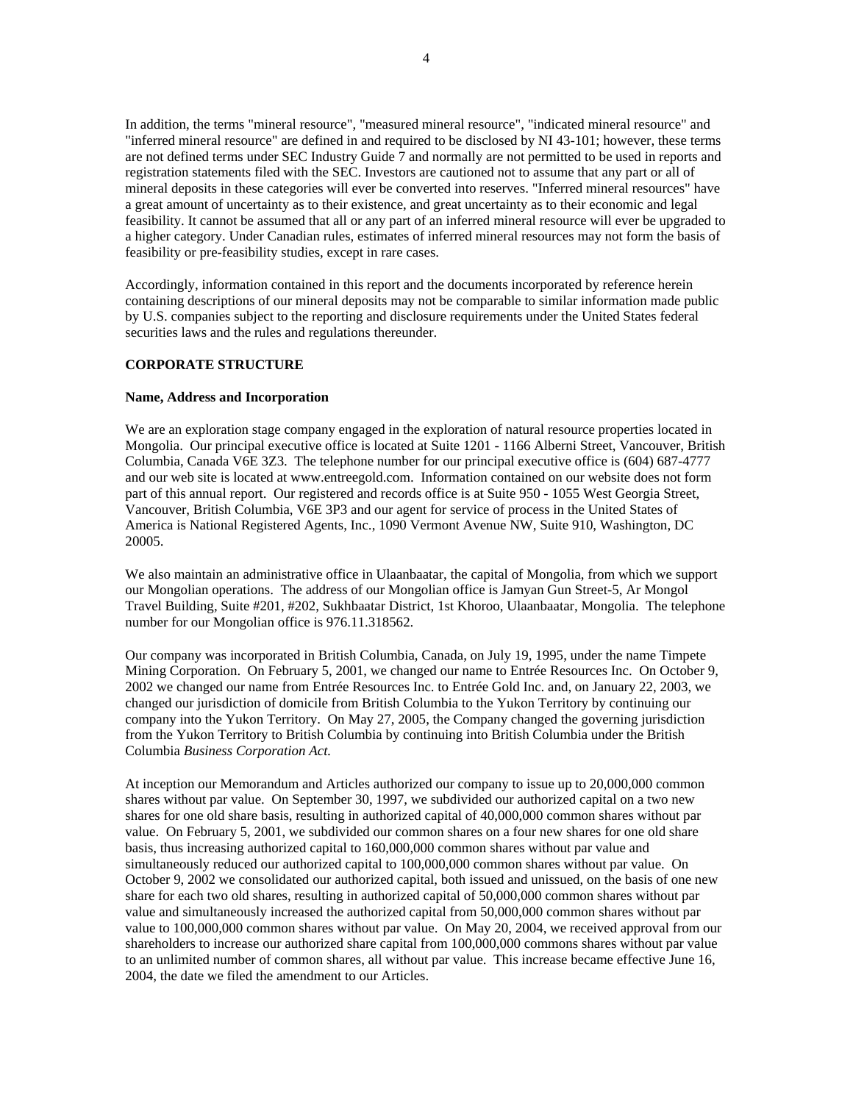In addition, the terms "mineral resource", "measured mineral resource", "indicated mineral resource" and "inferred mineral resource" are defined in and required to be disclosed by NI 43-101; however, these terms are not defined terms under SEC Industry Guide 7 and normally are not permitted to be used in reports and registration statements filed with the SEC. Investors are cautioned not to assume that any part or all of mineral deposits in these categories will ever be converted into reserves. "Inferred mineral resources" have a great amount of uncertainty as to their existence, and great uncertainty as to their economic and legal feasibility. It cannot be assumed that all or any part of an inferred mineral resource will ever be upgraded to a higher category. Under Canadian rules, estimates of inferred mineral resources may not form the basis of feasibility or pre-feasibility studies, except in rare cases.

Accordingly, information contained in this report and the documents incorporated by reference herein containing descriptions of our mineral deposits may not be comparable to similar information made public by U.S. companies subject to the reporting and disclosure requirements under the United States federal securities laws and the rules and regulations thereunder.

#### **CORPORATE STRUCTURE**

#### **Name, Address and Incorporation**

We are an exploration stage company engaged in the exploration of natural resource properties located in Mongolia. Our principal executive office is located at Suite 1201 - 1166 Alberni Street, Vancouver, British Columbia, Canada V6E 3Z3. The telephone number for our principal executive office is (604) 687-4777 and our web site is located at www.entreegold.com. Information contained on our website does not form part of this annual report. Our registered and records office is at Suite 950 - 1055 West Georgia Street, Vancouver, British Columbia, V6E 3P3 and our agent for service of process in the United States of America is National Registered Agents, Inc., 1090 Vermont Avenue NW, Suite 910, Washington, DC 20005.

We also maintain an administrative office in Ulaanbaatar, the capital of Mongolia, from which we support our Mongolian operations. The address of our Mongolian office is Jamyan Gun Street-5, Ar Mongol Travel Building, Suite #201, #202, Sukhbaatar District, 1st Khoroo, Ulaanbaatar, Mongolia. The telephone number for our Mongolian office is 976.11.318562.

Our company was incorporated in British Columbia, Canada, on July 19, 1995, under the name Timpete Mining Corporation. On February 5, 2001, we changed our name to Entrée Resources Inc. On October 9, 2002 we changed our name from Entrée Resources Inc. to Entrée Gold Inc. and, on January 22, 2003, we changed our jurisdiction of domicile from British Columbia to the Yukon Territory by continuing our company into the Yukon Territory. On May 27, 2005, the Company changed the governing jurisdiction from the Yukon Territory to British Columbia by continuing into British Columbia under the British Columbia *Business Corporation Act.*

At inception our Memorandum and Articles authorized our company to issue up to 20,000,000 common shares without par value. On September 30, 1997, we subdivided our authorized capital on a two new shares for one old share basis, resulting in authorized capital of 40,000,000 common shares without par value. On February 5, 2001, we subdivided our common shares on a four new shares for one old share basis, thus increasing authorized capital to 160,000,000 common shares without par value and simultaneously reduced our authorized capital to 100,000,000 common shares without par value. On October 9, 2002 we consolidated our authorized capital, both issued and unissued, on the basis of one new share for each two old shares, resulting in authorized capital of 50,000,000 common shares without par value and simultaneously increased the authorized capital from 50,000,000 common shares without par value to 100,000,000 common shares without par value. On May 20, 2004, we received approval from our shareholders to increase our authorized share capital from 100,000,000 commons shares without par value to an unlimited number of common shares, all without par value. This increase became effective June 16, 2004, the date we filed the amendment to our Articles.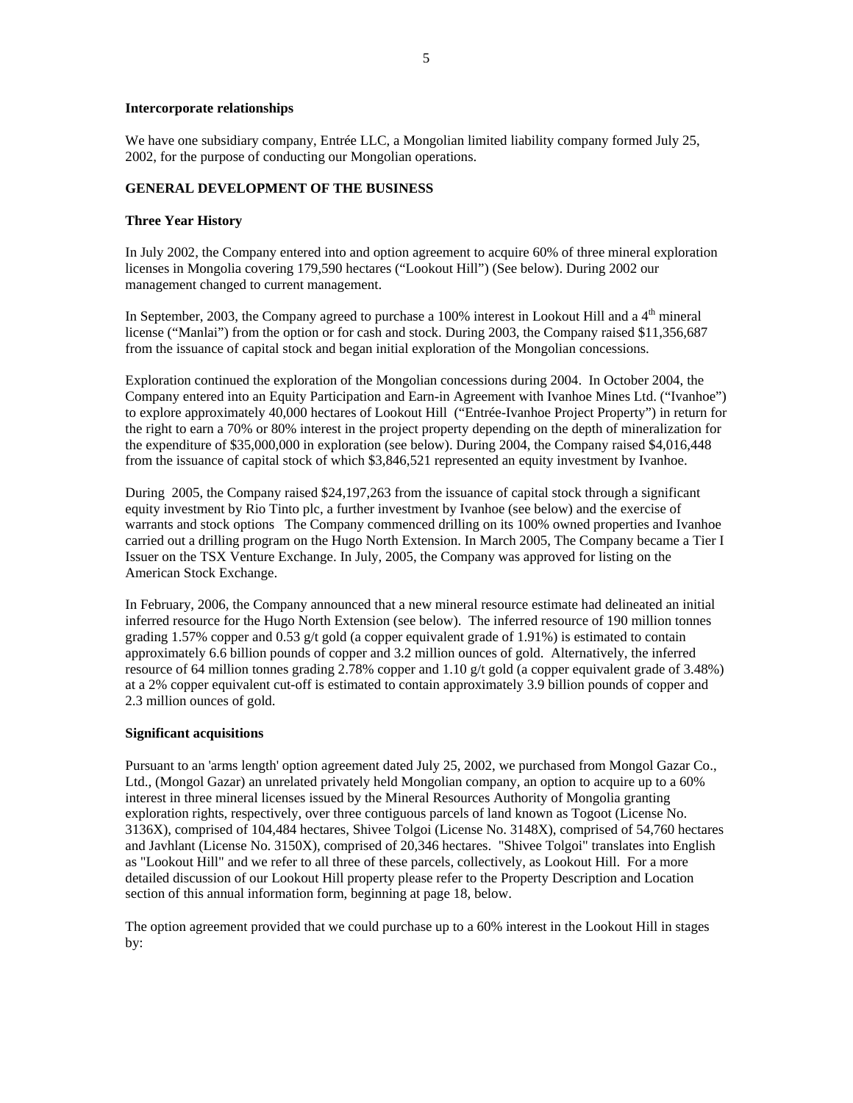# **Intercorporate relationships**

We have one subsidiary company, Entrée LLC, a Mongolian limited liability company formed July 25, 2002, for the purpose of conducting our Mongolian operations.

# **GENERAL DEVELOPMENT OF THE BUSINESS**

## **Three Year History**

In July 2002, the Company entered into and option agreement to acquire 60% of three mineral exploration licenses in Mongolia covering 179,590 hectares ("Lookout Hill") (See below). During 2002 our management changed to current management.

In September, 2003, the Company agreed to purchase a 100% interest in Lookout Hill and a 4<sup>th</sup> mineral license ("Manlai") from the option or for cash and stock. During 2003, the Company raised \$11,356,687 from the issuance of capital stock and began initial exploration of the Mongolian concessions.

Exploration continued the exploration of the Mongolian concessions during 2004. In October 2004, the Company entered into an Equity Participation and Earn-in Agreement with Ivanhoe Mines Ltd. ("Ivanhoe") to explore approximately 40,000 hectares of Lookout Hill ("Entrée-Ivanhoe Project Property") in return for the right to earn a 70% or 80% interest in the project property depending on the depth of mineralization for the expenditure of \$35,000,000 in exploration (see below). During 2004, the Company raised \$4,016,448 from the issuance of capital stock of which \$3,846,521 represented an equity investment by Ivanhoe.

During 2005, the Company raised \$24,197,263 from the issuance of capital stock through a significant equity investment by Rio Tinto plc, a further investment by Ivanhoe (see below) and the exercise of warrants and stock options The Company commenced drilling on its 100% owned properties and Ivanhoe carried out a drilling program on the Hugo North Extension. In March 2005, The Company became a Tier I Issuer on the TSX Venture Exchange. In July, 2005, the Company was approved for listing on the American Stock Exchange.

In February, 2006, the Company announced that a new mineral resource estimate had delineated an initial inferred resource for the Hugo North Extension (see below). The inferred resource of 190 million tonnes grading 1.57% copper and 0.53 g/t gold (a copper equivalent grade of 1.91%) is estimated to contain approximately 6.6 billion pounds of copper and 3.2 million ounces of gold. Alternatively, the inferred resource of 64 million tonnes grading 2.78% copper and 1.10 g/t gold (a copper equivalent grade of 3.48%) at a 2% copper equivalent cut-off is estimated to contain approximately 3.9 billion pounds of copper and 2.3 million ounces of gold.

#### **Significant acquisitions**

Pursuant to an 'arms length' option agreement dated July 25, 2002, we purchased from Mongol Gazar Co., Ltd., (Mongol Gazar) an unrelated privately held Mongolian company, an option to acquire up to a 60% interest in three mineral licenses issued by the Mineral Resources Authority of Mongolia granting exploration rights, respectively, over three contiguous parcels of land known as Togoot (License No. 3136X), comprised of 104,484 hectares, Shivee Tolgoi (License No. 3148X), comprised of 54,760 hectares and Javhlant (License No. 3150X), comprised of 20,346 hectares. "Shivee Tolgoi" translates into English as "Lookout Hill" and we refer to all three of these parcels, collectively, as Lookout Hill. For a more detailed discussion of our Lookout Hill property please refer to the Property Description and Location section of this annual information form, beginning at page 18, below.

The option agreement provided that we could purchase up to a 60% interest in the Lookout Hill in stages by: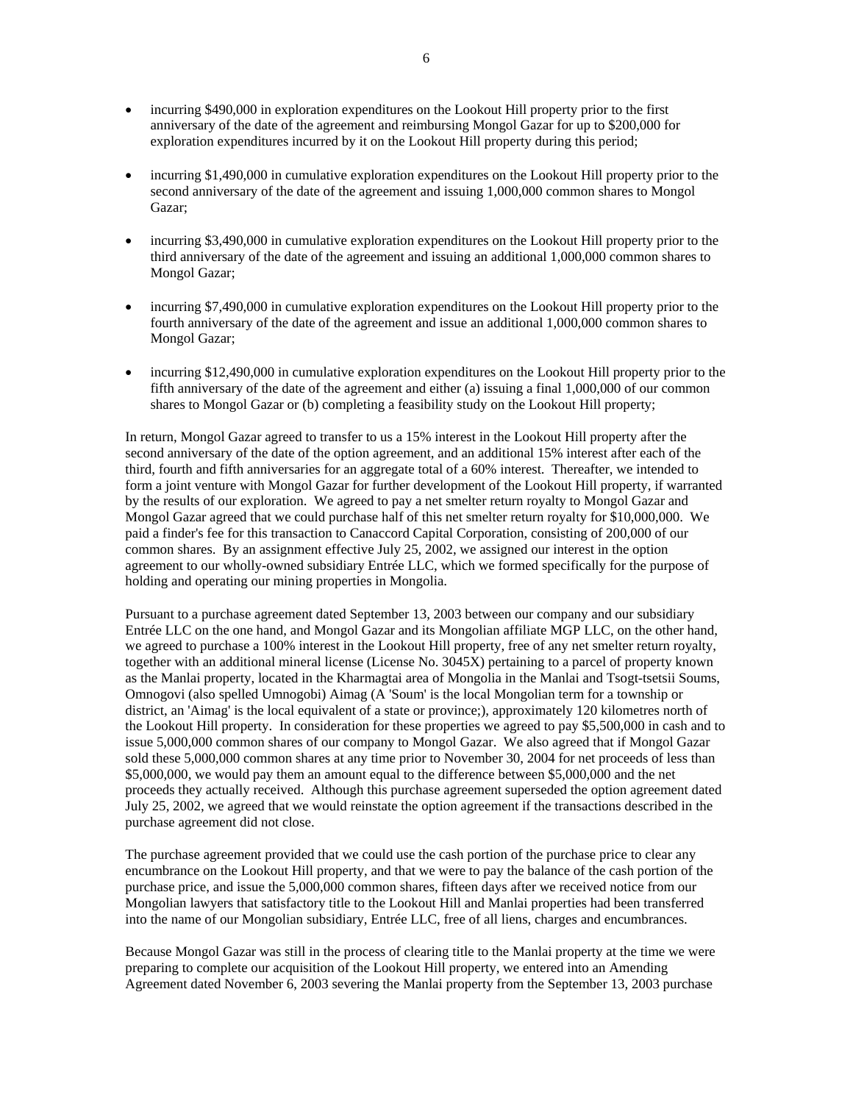- incurring \$490,000 in exploration expenditures on the Lookout Hill property prior to the first anniversary of the date of the agreement and reimbursing Mongol Gazar for up to \$200,000 for exploration expenditures incurred by it on the Lookout Hill property during this period;
- incurring \$1,490,000 in cumulative exploration expenditures on the Lookout Hill property prior to the second anniversary of the date of the agreement and issuing 1,000,000 common shares to Mongol Gazar;
- incurring \$3,490,000 in cumulative exploration expenditures on the Lookout Hill property prior to the third anniversary of the date of the agreement and issuing an additional 1,000,000 common shares to Mongol Gazar;
- incurring \$7,490,000 in cumulative exploration expenditures on the Lookout Hill property prior to the fourth anniversary of the date of the agreement and issue an additional 1,000,000 common shares to Mongol Gazar;
- incurring \$12,490,000 in cumulative exploration expenditures on the Lookout Hill property prior to the fifth anniversary of the date of the agreement and either (a) issuing a final 1,000,000 of our common shares to Mongol Gazar or (b) completing a feasibility study on the Lookout Hill property;

In return, Mongol Gazar agreed to transfer to us a 15% interest in the Lookout Hill property after the second anniversary of the date of the option agreement, and an additional 15% interest after each of the third, fourth and fifth anniversaries for an aggregate total of a 60% interest. Thereafter, we intended to form a joint venture with Mongol Gazar for further development of the Lookout Hill property, if warranted by the results of our exploration. We agreed to pay a net smelter return royalty to Mongol Gazar and Mongol Gazar agreed that we could purchase half of this net smelter return royalty for \$10,000,000. We paid a finder's fee for this transaction to Canaccord Capital Corporation, consisting of 200,000 of our common shares. By an assignment effective July 25, 2002, we assigned our interest in the option agreement to our wholly-owned subsidiary Entrée LLC, which we formed specifically for the purpose of holding and operating our mining properties in Mongolia.

Pursuant to a purchase agreement dated September 13, 2003 between our company and our subsidiary Entrée LLC on the one hand, and Mongol Gazar and its Mongolian affiliate MGP LLC, on the other hand, we agreed to purchase a 100% interest in the Lookout Hill property, free of any net smelter return royalty, together with an additional mineral license (License No. 3045X) pertaining to a parcel of property known as the Manlai property, located in the Kharmagtai area of Mongolia in the Manlai and Tsogt-tsetsii Soums, Omnogovi (also spelled Umnogobi) Aimag (A 'Soum' is the local Mongolian term for a township or district, an 'Aimag' is the local equivalent of a state or province;), approximately 120 kilometres north of the Lookout Hill property. In consideration for these properties we agreed to pay \$5,500,000 in cash and to issue 5,000,000 common shares of our company to Mongol Gazar. We also agreed that if Mongol Gazar sold these 5,000,000 common shares at any time prior to November 30, 2004 for net proceeds of less than \$5,000,000, we would pay them an amount equal to the difference between \$5,000,000 and the net proceeds they actually received. Although this purchase agreement superseded the option agreement dated July 25, 2002, we agreed that we would reinstate the option agreement if the transactions described in the purchase agreement did not close.

The purchase agreement provided that we could use the cash portion of the purchase price to clear any encumbrance on the Lookout Hill property, and that we were to pay the balance of the cash portion of the purchase price, and issue the 5,000,000 common shares, fifteen days after we received notice from our Mongolian lawyers that satisfactory title to the Lookout Hill and Manlai properties had been transferred into the name of our Mongolian subsidiary, Entrée LLC, free of all liens, charges and encumbrances.

Because Mongol Gazar was still in the process of clearing title to the Manlai property at the time we were preparing to complete our acquisition of the Lookout Hill property, we entered into an Amending Agreement dated November 6, 2003 severing the Manlai property from the September 13, 2003 purchase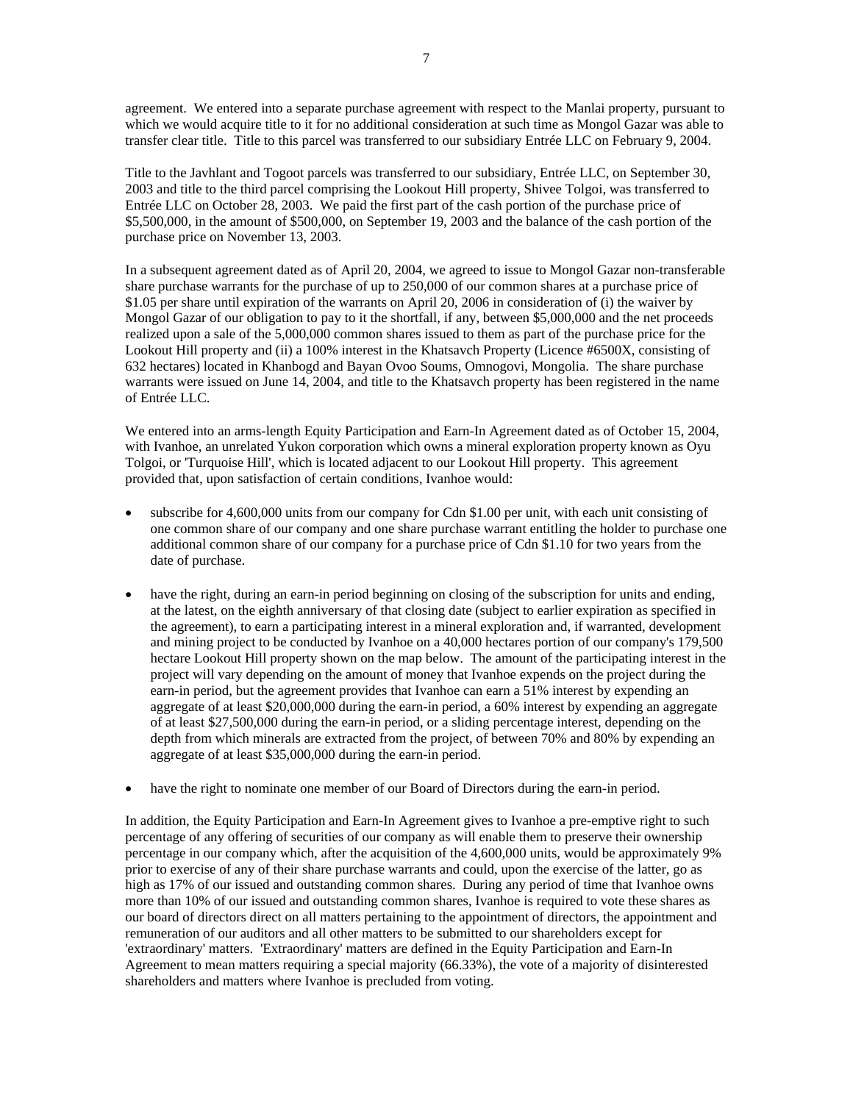agreement. We entered into a separate purchase agreement with respect to the Manlai property, pursuant to which we would acquire title to it for no additional consideration at such time as Mongol Gazar was able to transfer clear title. Title to this parcel was transferred to our subsidiary Entrée LLC on February 9, 2004.

Title to the Javhlant and Togoot parcels was transferred to our subsidiary, Entrée LLC, on September 30, 2003 and title to the third parcel comprising the Lookout Hill property, Shivee Tolgoi, was transferred to Entrée LLC on October 28, 2003. We paid the first part of the cash portion of the purchase price of \$5,500,000, in the amount of \$500,000, on September 19, 2003 and the balance of the cash portion of the purchase price on November 13, 2003.

In a subsequent agreement dated as of April 20, 2004, we agreed to issue to Mongol Gazar non-transferable share purchase warrants for the purchase of up to 250,000 of our common shares at a purchase price of \$1.05 per share until expiration of the warrants on April 20, 2006 in consideration of (i) the waiver by Mongol Gazar of our obligation to pay to it the shortfall, if any, between \$5,000,000 and the net proceeds realized upon a sale of the 5,000,000 common shares issued to them as part of the purchase price for the Lookout Hill property and (ii) a 100% interest in the Khatsavch Property (Licence #6500X, consisting of 632 hectares) located in Khanbogd and Bayan Ovoo Soums, Omnogovi, Mongolia. The share purchase warrants were issued on June 14, 2004, and title to the Khatsavch property has been registered in the name of Entrée LLC.

We entered into an arms-length Equity Participation and Earn-In Agreement dated as of October 15, 2004, with Ivanhoe, an unrelated Yukon corporation which owns a mineral exploration property known as Oyu Tolgoi, or 'Turquoise Hill', which is located adjacent to our Lookout Hill property. This agreement provided that, upon satisfaction of certain conditions, Ivanhoe would:

- subscribe for 4,600,000 units from our company for Cdn \$1.00 per unit, with each unit consisting of one common share of our company and one share purchase warrant entitling the holder to purchase one additional common share of our company for a purchase price of Cdn \$1.10 for two years from the date of purchase.
- have the right, during an earn-in period beginning on closing of the subscription for units and ending, at the latest, on the eighth anniversary of that closing date (subject to earlier expiration as specified in the agreement), to earn a participating interest in a mineral exploration and, if warranted, development and mining project to be conducted by Ivanhoe on a 40,000 hectares portion of our company's 179,500 hectare Lookout Hill property shown on the map below. The amount of the participating interest in the project will vary depending on the amount of money that Ivanhoe expends on the project during the earn-in period, but the agreement provides that Ivanhoe can earn a 51% interest by expending an aggregate of at least \$20,000,000 during the earn-in period, a 60% interest by expending an aggregate of at least \$27,500,000 during the earn-in period, or a sliding percentage interest, depending on the depth from which minerals are extracted from the project, of between 70% and 80% by expending an aggregate of at least \$35,000,000 during the earn-in period.
- have the right to nominate one member of our Board of Directors during the earn-in period.

In addition, the Equity Participation and Earn-In Agreement gives to Ivanhoe a pre-emptive right to such percentage of any offering of securities of our company as will enable them to preserve their ownership percentage in our company which, after the acquisition of the 4,600,000 units, would be approximately 9% prior to exercise of any of their share purchase warrants and could, upon the exercise of the latter, go as high as 17% of our issued and outstanding common shares. During any period of time that Ivanhoe owns more than 10% of our issued and outstanding common shares, Ivanhoe is required to vote these shares as our board of directors direct on all matters pertaining to the appointment of directors, the appointment and remuneration of our auditors and all other matters to be submitted to our shareholders except for 'extraordinary' matters. 'Extraordinary' matters are defined in the Equity Participation and Earn-In Agreement to mean matters requiring a special majority (66.33%), the vote of a majority of disinterested shareholders and matters where Ivanhoe is precluded from voting.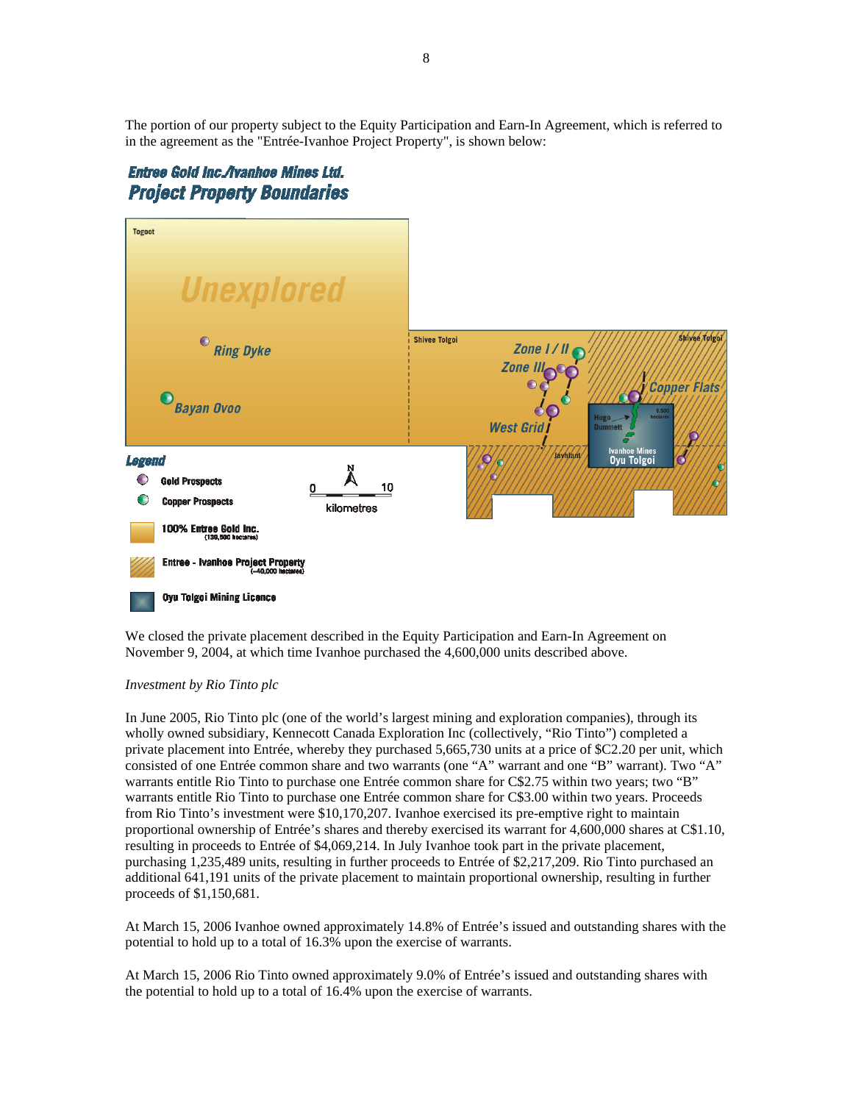The portion of our property subject to the Equity Participation and Earn-In Agreement, which is referred to in the agreement as the "Entrée-Ivanhoe Project Property", is shown below:

# Entree Gold Inc./Ivanhoe Mines Ltd. **Project Property Boundaries**



We closed the private placement described in the Equity Participation and Earn-In Agreement on November 9, 2004, at which time Ivanhoe purchased the 4,600,000 units described above.

# *Investment by Rio Tinto plc*

In June 2005, Rio Tinto plc (one of the world's largest mining and exploration companies), through its wholly owned subsidiary, Kennecott Canada Exploration Inc (collectively, "Rio Tinto") completed a private placement into Entrée, whereby they purchased 5,665,730 units at a price of \$C2.20 per unit, which consisted of one Entrée common share and two warrants (one "A" warrant and one "B" warrant). Two "A" warrants entitle Rio Tinto to purchase one Entrée common share for C\$2.75 within two years; two "B" warrants entitle Rio Tinto to purchase one Entrée common share for C\$3.00 within two years. Proceeds from Rio Tinto's investment were \$10,170,207. Ivanhoe exercised its pre-emptive right to maintain proportional ownership of Entrée's shares and thereby exercised its warrant for 4,600,000 shares at C\$1.10, resulting in proceeds to Entrée of \$4,069,214. In July Ivanhoe took part in the private placement, purchasing 1,235,489 units, resulting in further proceeds to Entrée of \$2,217,209. Rio Tinto purchased an additional 641,191 units of the private placement to maintain proportional ownership, resulting in further proceeds of \$1,150,681.

At March 15, 2006 Ivanhoe owned approximately 14.8% of Entrée's issued and outstanding shares with the potential to hold up to a total of 16.3% upon the exercise of warrants.

At March 15, 2006 Rio Tinto owned approximately 9.0% of Entrée's issued and outstanding shares with the potential to hold up to a total of 16.4% upon the exercise of warrants.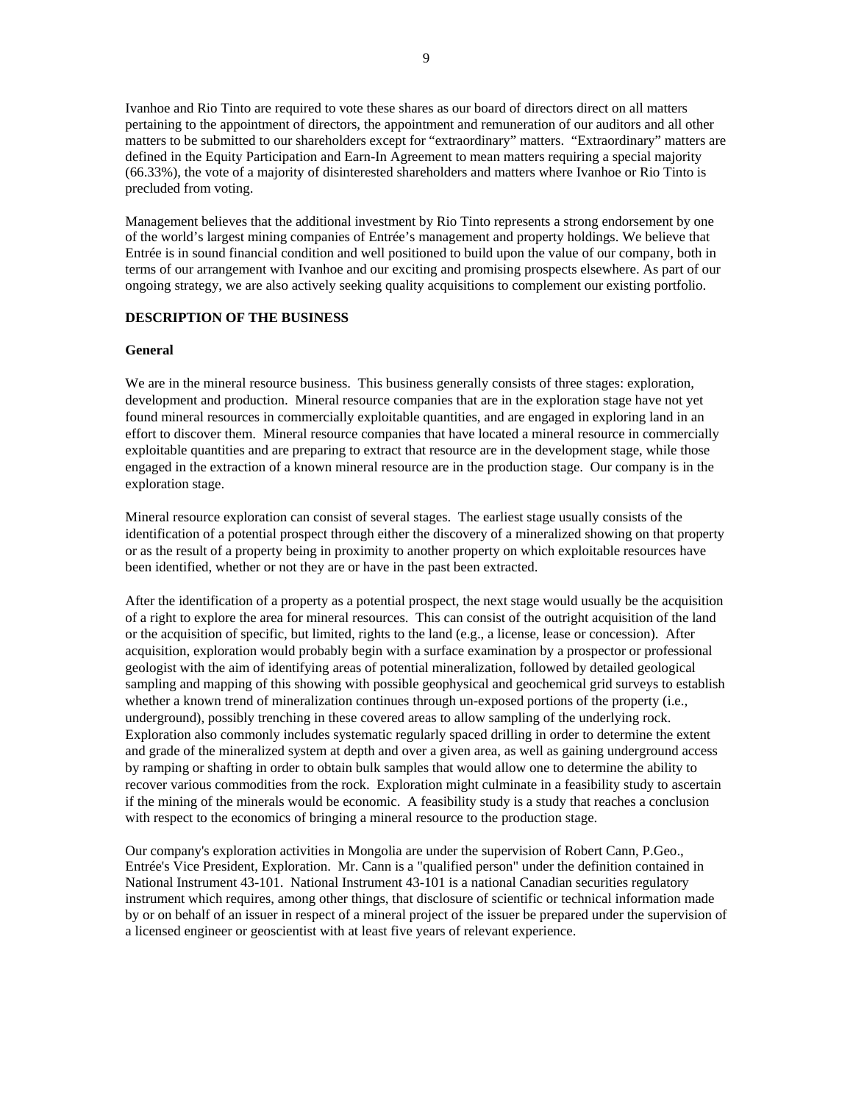Ivanhoe and Rio Tinto are required to vote these shares as our board of directors direct on all matters pertaining to the appointment of directors, the appointment and remuneration of our auditors and all other matters to be submitted to our shareholders except for "extraordinary" matters. "Extraordinary" matters are defined in the Equity Participation and Earn-In Agreement to mean matters requiring a special majority (66.33%), the vote of a majority of disinterested shareholders and matters where Ivanhoe or Rio Tinto is precluded from voting.

Management believes that the additional investment by Rio Tinto represents a strong endorsement by one of the world's largest mining companies of Entrée's management and property holdings. We believe that Entrée is in sound financial condition and well positioned to build upon the value of our company, both in terms of our arrangement with Ivanhoe and our exciting and promising prospects elsewhere. As part of our ongoing strategy, we are also actively seeking quality acquisitions to complement our existing portfolio.

# **DESCRIPTION OF THE BUSINESS**

#### **General**

We are in the mineral resource business. This business generally consists of three stages: exploration, development and production. Mineral resource companies that are in the exploration stage have not yet found mineral resources in commercially exploitable quantities, and are engaged in exploring land in an effort to discover them. Mineral resource companies that have located a mineral resource in commercially exploitable quantities and are preparing to extract that resource are in the development stage, while those engaged in the extraction of a known mineral resource are in the production stage. Our company is in the exploration stage.

Mineral resource exploration can consist of several stages. The earliest stage usually consists of the identification of a potential prospect through either the discovery of a mineralized showing on that property or as the result of a property being in proximity to another property on which exploitable resources have been identified, whether or not they are or have in the past been extracted.

After the identification of a property as a potential prospect, the next stage would usually be the acquisition of a right to explore the area for mineral resources. This can consist of the outright acquisition of the land or the acquisition of specific, but limited, rights to the land (e.g., a license, lease or concession). After acquisition, exploration would probably begin with a surface examination by a prospector or professional geologist with the aim of identifying areas of potential mineralization, followed by detailed geological sampling and mapping of this showing with possible geophysical and geochemical grid surveys to establish whether a known trend of mineralization continues through un-exposed portions of the property (i.e., underground), possibly trenching in these covered areas to allow sampling of the underlying rock. Exploration also commonly includes systematic regularly spaced drilling in order to determine the extent and grade of the mineralized system at depth and over a given area, as well as gaining underground access by ramping or shafting in order to obtain bulk samples that would allow one to determine the ability to recover various commodities from the rock. Exploration might culminate in a feasibility study to ascertain if the mining of the minerals would be economic. A feasibility study is a study that reaches a conclusion with respect to the economics of bringing a mineral resource to the production stage.

Our company's exploration activities in Mongolia are under the supervision of Robert Cann, P.Geo., Entrée's Vice President, Exploration. Mr. Cann is a "qualified person" under the definition contained in National Instrument 43-101. National Instrument 43-101 is a national Canadian securities regulatory instrument which requires, among other things, that disclosure of scientific or technical information made by or on behalf of an issuer in respect of a mineral project of the issuer be prepared under the supervision of a licensed engineer or geoscientist with at least five years of relevant experience.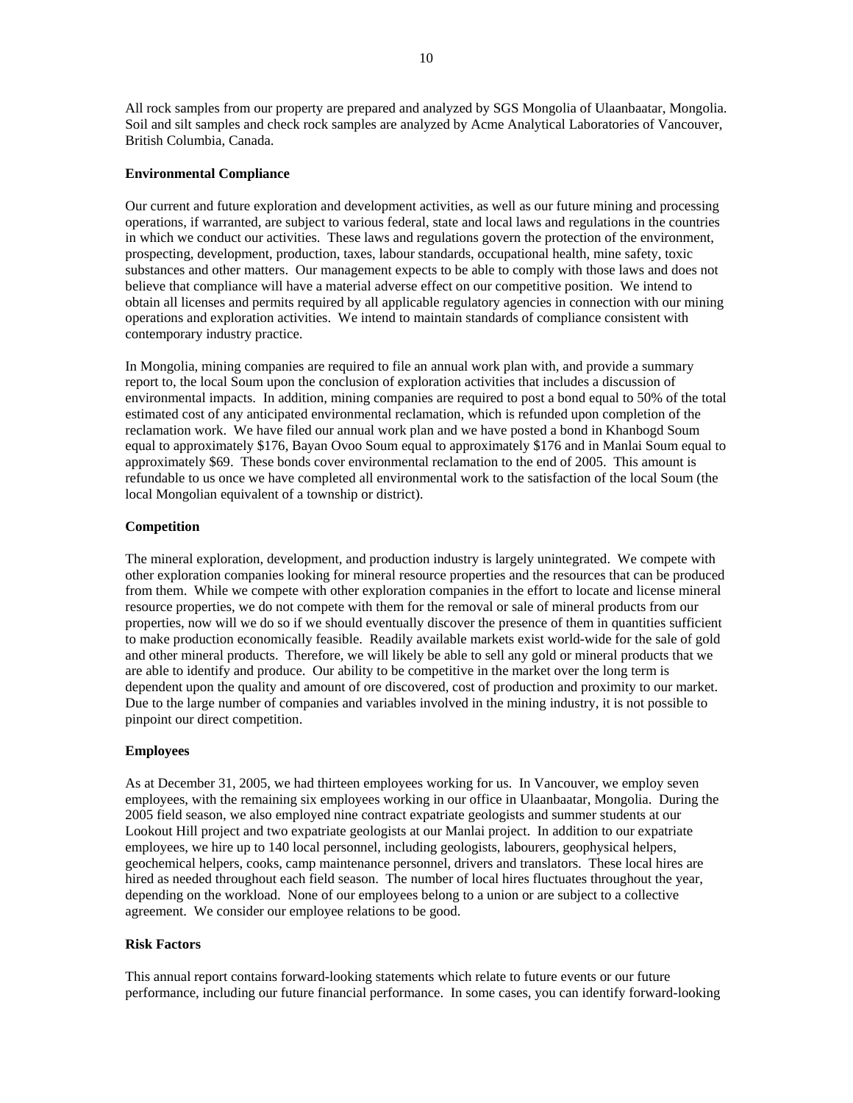All rock samples from our property are prepared and analyzed by SGS Mongolia of Ulaanbaatar, Mongolia. Soil and silt samples and check rock samples are analyzed by Acme Analytical Laboratories of Vancouver, British Columbia, Canada.

# **Environmental Compliance**

Our current and future exploration and development activities, as well as our future mining and processing operations, if warranted, are subject to various federal, state and local laws and regulations in the countries in which we conduct our activities. These laws and regulations govern the protection of the environment, prospecting, development, production, taxes, labour standards, occupational health, mine safety, toxic substances and other matters. Our management expects to be able to comply with those laws and does not believe that compliance will have a material adverse effect on our competitive position. We intend to obtain all licenses and permits required by all applicable regulatory agencies in connection with our mining operations and exploration activities. We intend to maintain standards of compliance consistent with contemporary industry practice.

In Mongolia, mining companies are required to file an annual work plan with, and provide a summary report to, the local Soum upon the conclusion of exploration activities that includes a discussion of environmental impacts. In addition, mining companies are required to post a bond equal to 50% of the total estimated cost of any anticipated environmental reclamation, which is refunded upon completion of the reclamation work. We have filed our annual work plan and we have posted a bond in Khanbogd Soum equal to approximately \$176, Bayan Ovoo Soum equal to approximately \$176 and in Manlai Soum equal to approximately \$69. These bonds cover environmental reclamation to the end of 2005. This amount is refundable to us once we have completed all environmental work to the satisfaction of the local Soum (the local Mongolian equivalent of a township or district).

#### **Competition**

The mineral exploration, development, and production industry is largely unintegrated. We compete with other exploration companies looking for mineral resource properties and the resources that can be produced from them. While we compete with other exploration companies in the effort to locate and license mineral resource properties, we do not compete with them for the removal or sale of mineral products from our properties, now will we do so if we should eventually discover the presence of them in quantities sufficient to make production economically feasible. Readily available markets exist world-wide for the sale of gold and other mineral products. Therefore, we will likely be able to sell any gold or mineral products that we are able to identify and produce. Our ability to be competitive in the market over the long term is dependent upon the quality and amount of ore discovered, cost of production and proximity to our market. Due to the large number of companies and variables involved in the mining industry, it is not possible to pinpoint our direct competition.

#### **Employees**

As at December 31, 2005, we had thirteen employees working for us. In Vancouver, we employ seven employees, with the remaining six employees working in our office in Ulaanbaatar, Mongolia. During the 2005 field season, we also employed nine contract expatriate geologists and summer students at our Lookout Hill project and two expatriate geologists at our Manlai project. In addition to our expatriate employees, we hire up to 140 local personnel, including geologists, labourers, geophysical helpers, geochemical helpers, cooks, camp maintenance personnel, drivers and translators. These local hires are hired as needed throughout each field season. The number of local hires fluctuates throughout the year, depending on the workload. None of our employees belong to a union or are subject to a collective agreement. We consider our employee relations to be good.

#### **Risk Factors**

This annual report contains forward-looking statements which relate to future events or our future performance, including our future financial performance. In some cases, you can identify forward-looking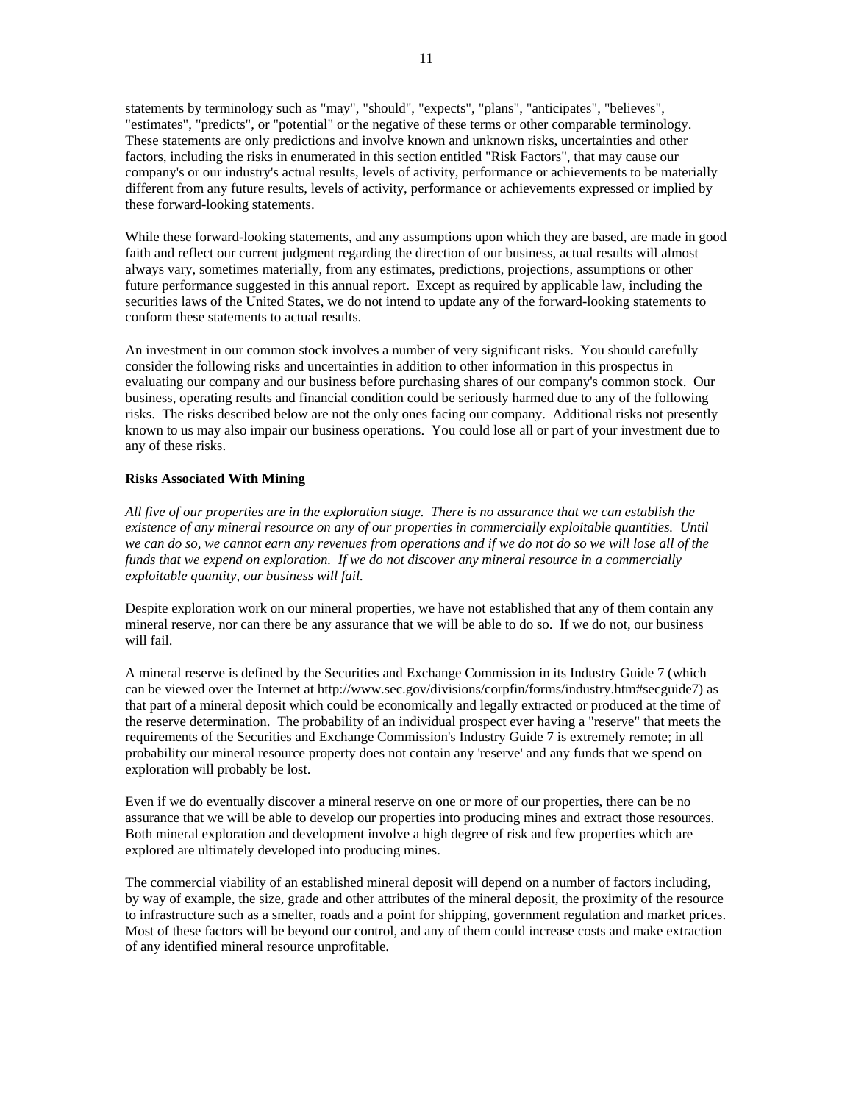statements by terminology such as "may", "should", "expects", "plans", "anticipates", "believes", "estimates", "predicts", or "potential" or the negative of these terms or other comparable terminology. These statements are only predictions and involve known and unknown risks, uncertainties and other factors, including the risks in enumerated in this section entitled "Risk Factors", that may cause our company's or our industry's actual results, levels of activity, performance or achievements to be materially different from any future results, levels of activity, performance or achievements expressed or implied by these forward-looking statements.

While these forward-looking statements, and any assumptions upon which they are based, are made in good faith and reflect our current judgment regarding the direction of our business, actual results will almost always vary, sometimes materially, from any estimates, predictions, projections, assumptions or other future performance suggested in this annual report. Except as required by applicable law, including the securities laws of the United States, we do not intend to update any of the forward-looking statements to conform these statements to actual results.

An investment in our common stock involves a number of very significant risks. You should carefully consider the following risks and uncertainties in addition to other information in this prospectus in evaluating our company and our business before purchasing shares of our company's common stock. Our business, operating results and financial condition could be seriously harmed due to any of the following risks. The risks described below are not the only ones facing our company. Additional risks not presently known to us may also impair our business operations. You could lose all or part of your investment due to any of these risks.

# **Risks Associated With Mining**

*All five of our properties are in the exploration stage. There is no assurance that we can establish the existence of any mineral resource on any of our properties in commercially exploitable quantities. Until we can do so, we cannot earn any revenues from operations and if we do not do so we will lose all of the funds that we expend on exploration. If we do not discover any mineral resource in a commercially exploitable quantity, our business will fail.* 

Despite exploration work on our mineral properties, we have not established that any of them contain any mineral reserve, nor can there be any assurance that we will be able to do so. If we do not, our business will fail.

A mineral reserve is defined by the Securities and Exchange Commission in its Industry Guide 7 (which can be viewed over the Internet at http://www.sec.gov/divisions/corpfin/forms/industry.htm#secguide7) as that part of a mineral deposit which could be economically and legally extracted or produced at the time of the reserve determination. The probability of an individual prospect ever having a "reserve" that meets the requirements of the Securities and Exchange Commission's Industry Guide 7 is extremely remote; in all probability our mineral resource property does not contain any 'reserve' and any funds that we spend on exploration will probably be lost.

Even if we do eventually discover a mineral reserve on one or more of our properties, there can be no assurance that we will be able to develop our properties into producing mines and extract those resources. Both mineral exploration and development involve a high degree of risk and few properties which are explored are ultimately developed into producing mines.

The commercial viability of an established mineral deposit will depend on a number of factors including, by way of example, the size, grade and other attributes of the mineral deposit, the proximity of the resource to infrastructure such as a smelter, roads and a point for shipping, government regulation and market prices. Most of these factors will be beyond our control, and any of them could increase costs and make extraction of any identified mineral resource unprofitable.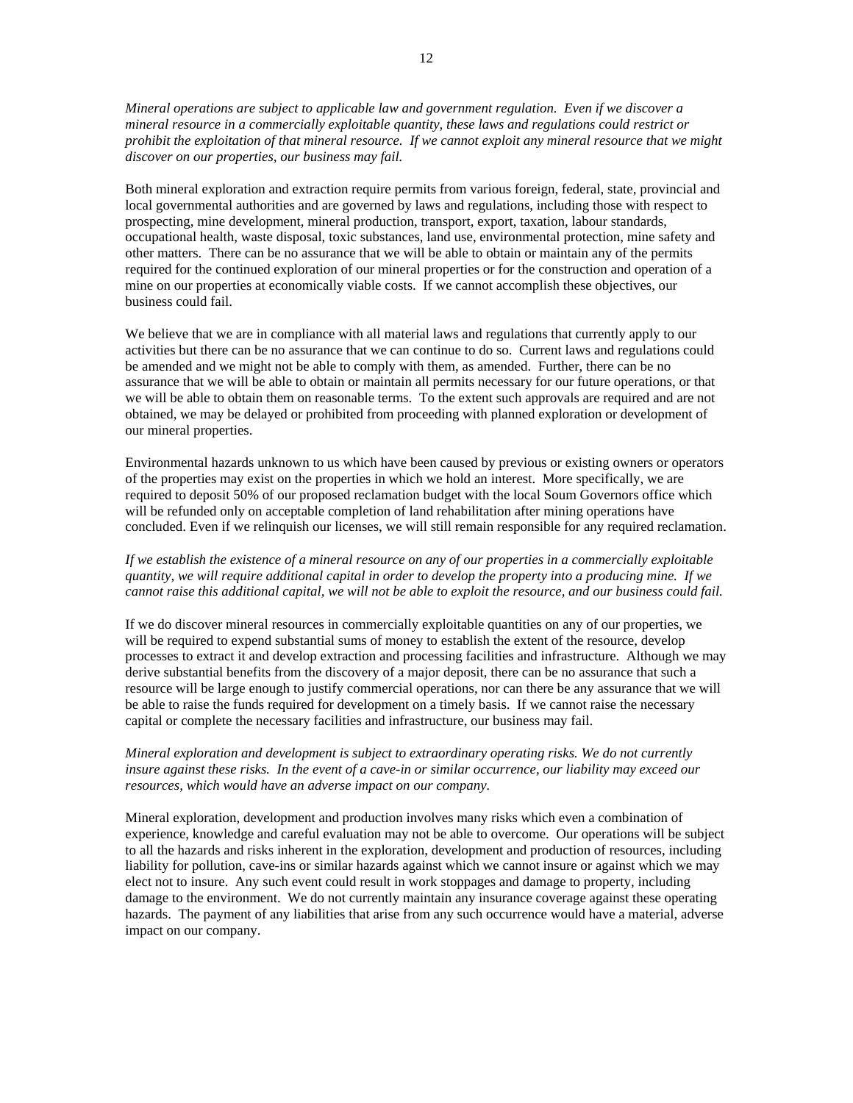*Mineral operations are subject to applicable law and government regulation. Even if we discover a mineral resource in a commercially exploitable quantity, these laws and regulations could restrict or prohibit the exploitation of that mineral resource. If we cannot exploit any mineral resource that we might discover on our properties, our business may fail.* 

Both mineral exploration and extraction require permits from various foreign, federal, state, provincial and local governmental authorities and are governed by laws and regulations, including those with respect to prospecting, mine development, mineral production, transport, export, taxation, labour standards, occupational health, waste disposal, toxic substances, land use, environmental protection, mine safety and other matters. There can be no assurance that we will be able to obtain or maintain any of the permits required for the continued exploration of our mineral properties or for the construction and operation of a mine on our properties at economically viable costs. If we cannot accomplish these objectives, our business could fail.

We believe that we are in compliance with all material laws and regulations that currently apply to our activities but there can be no assurance that we can continue to do so. Current laws and regulations could be amended and we might not be able to comply with them, as amended. Further, there can be no assurance that we will be able to obtain or maintain all permits necessary for our future operations, or that we will be able to obtain them on reasonable terms. To the extent such approvals are required and are not obtained, we may be delayed or prohibited from proceeding with planned exploration or development of our mineral properties.

Environmental hazards unknown to us which have been caused by previous or existing owners or operators of the properties may exist on the properties in which we hold an interest. More specifically, we are required to deposit 50% of our proposed reclamation budget with the local Soum Governors office which will be refunded only on acceptable completion of land rehabilitation after mining operations have concluded. Even if we relinquish our licenses, we will still remain responsible for any required reclamation.

# *If we establish the existence of a mineral resource on any of our properties in a commercially exploitable quantity, we will require additional capital in order to develop the property into a producing mine. If we cannot raise this additional capital, we will not be able to exploit the resource, and our business could fail.*

If we do discover mineral resources in commercially exploitable quantities on any of our properties, we will be required to expend substantial sums of money to establish the extent of the resource, develop processes to extract it and develop extraction and processing facilities and infrastructure. Although we may derive substantial benefits from the discovery of a major deposit, there can be no assurance that such a resource will be large enough to justify commercial operations, nor can there be any assurance that we will be able to raise the funds required for development on a timely basis. If we cannot raise the necessary capital or complete the necessary facilities and infrastructure, our business may fail.

# *Mineral exploration and development is subject to extraordinary operating risks. We do not currently insure against these risks. In the event of a cave-in or similar occurrence, our liability may exceed our resources, which would have an adverse impact on our company.*

Mineral exploration, development and production involves many risks which even a combination of experience, knowledge and careful evaluation may not be able to overcome. Our operations will be subject to all the hazards and risks inherent in the exploration, development and production of resources, including liability for pollution, cave-ins or similar hazards against which we cannot insure or against which we may elect not to insure. Any such event could result in work stoppages and damage to property, including damage to the environment. We do not currently maintain any insurance coverage against these operating hazards. The payment of any liabilities that arise from any such occurrence would have a material, adverse impact on our company.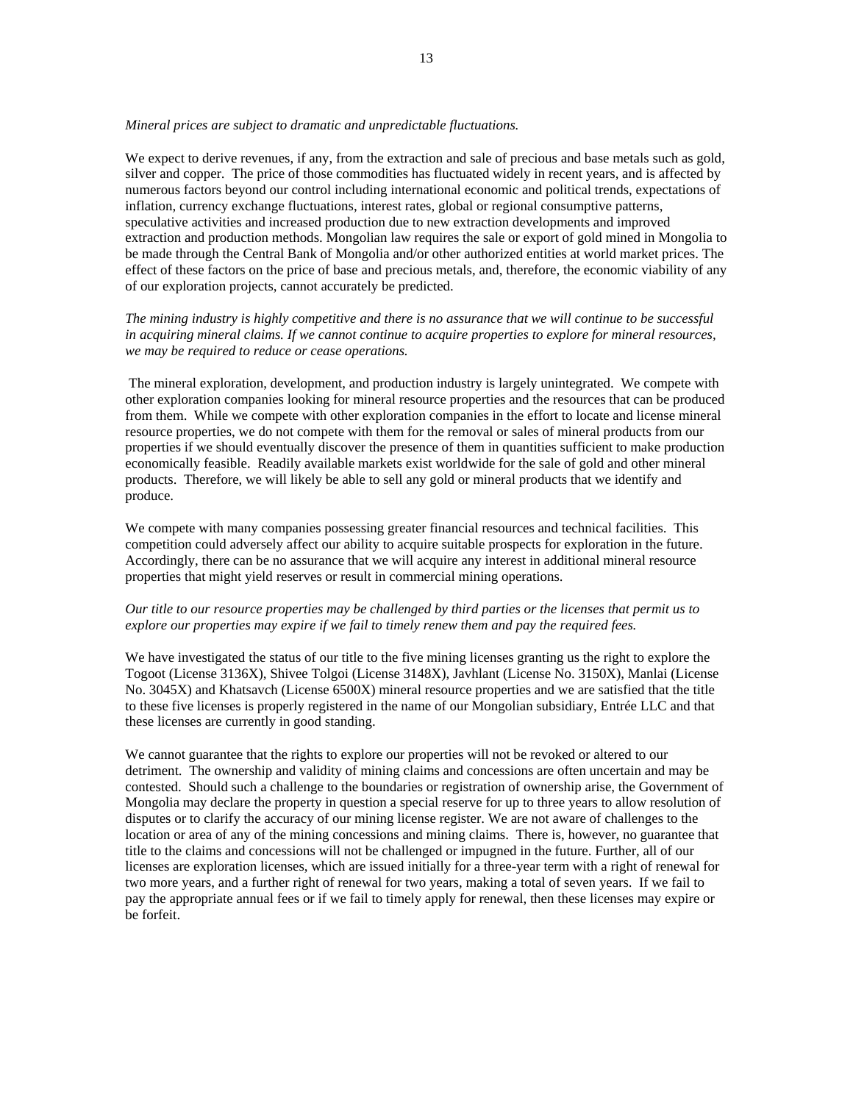#### *Mineral prices are subject to dramatic and unpredictable fluctuations.*

We expect to derive revenues, if any, from the extraction and sale of precious and base metals such as gold, silver and copper. The price of those commodities has fluctuated widely in recent years, and is affected by numerous factors beyond our control including international economic and political trends, expectations of inflation, currency exchange fluctuations, interest rates, global or regional consumptive patterns, speculative activities and increased production due to new extraction developments and improved extraction and production methods. Mongolian law requires the sale or export of gold mined in Mongolia to be made through the Central Bank of Mongolia and/or other authorized entities at world market prices. The effect of these factors on the price of base and precious metals, and, therefore, the economic viability of any of our exploration projects, cannot accurately be predicted.

*The mining industry is highly competitive and there is no assurance that we will continue to be successful in acquiring mineral claims. If we cannot continue to acquire properties to explore for mineral resources, we may be required to reduce or cease operations.* 

 The mineral exploration, development, and production industry is largely unintegrated. We compete with other exploration companies looking for mineral resource properties and the resources that can be produced from them. While we compete with other exploration companies in the effort to locate and license mineral resource properties, we do not compete with them for the removal or sales of mineral products from our properties if we should eventually discover the presence of them in quantities sufficient to make production economically feasible. Readily available markets exist worldwide for the sale of gold and other mineral products. Therefore, we will likely be able to sell any gold or mineral products that we identify and produce.

We compete with many companies possessing greater financial resources and technical facilities. This competition could adversely affect our ability to acquire suitable prospects for exploration in the future. Accordingly, there can be no assurance that we will acquire any interest in additional mineral resource properties that might yield reserves or result in commercial mining operations.

# *Our title to our resource properties may be challenged by third parties or the licenses that permit us to explore our properties may expire if we fail to timely renew them and pay the required fees.*

We have investigated the status of our title to the five mining licenses granting us the right to explore the Togoot (License 3136X), Shivee Tolgoi (License 3148X), Javhlant (License No. 3150X), Manlai (License No. 3045X) and Khatsavch (License 6500X) mineral resource properties and we are satisfied that the title to these five licenses is properly registered in the name of our Mongolian subsidiary, Entrée LLC and that these licenses are currently in good standing.

We cannot guarantee that the rights to explore our properties will not be revoked or altered to our detriment. The ownership and validity of mining claims and concessions are often uncertain and may be contested. Should such a challenge to the boundaries or registration of ownership arise, the Government of Mongolia may declare the property in question a special reserve for up to three years to allow resolution of disputes or to clarify the accuracy of our mining license register. We are not aware of challenges to the location or area of any of the mining concessions and mining claims. There is, however, no guarantee that title to the claims and concessions will not be challenged or impugned in the future. Further, all of our licenses are exploration licenses, which are issued initially for a three-year term with a right of renewal for two more years, and a further right of renewal for two years, making a total of seven years. If we fail to pay the appropriate annual fees or if we fail to timely apply for renewal, then these licenses may expire or be forfeit.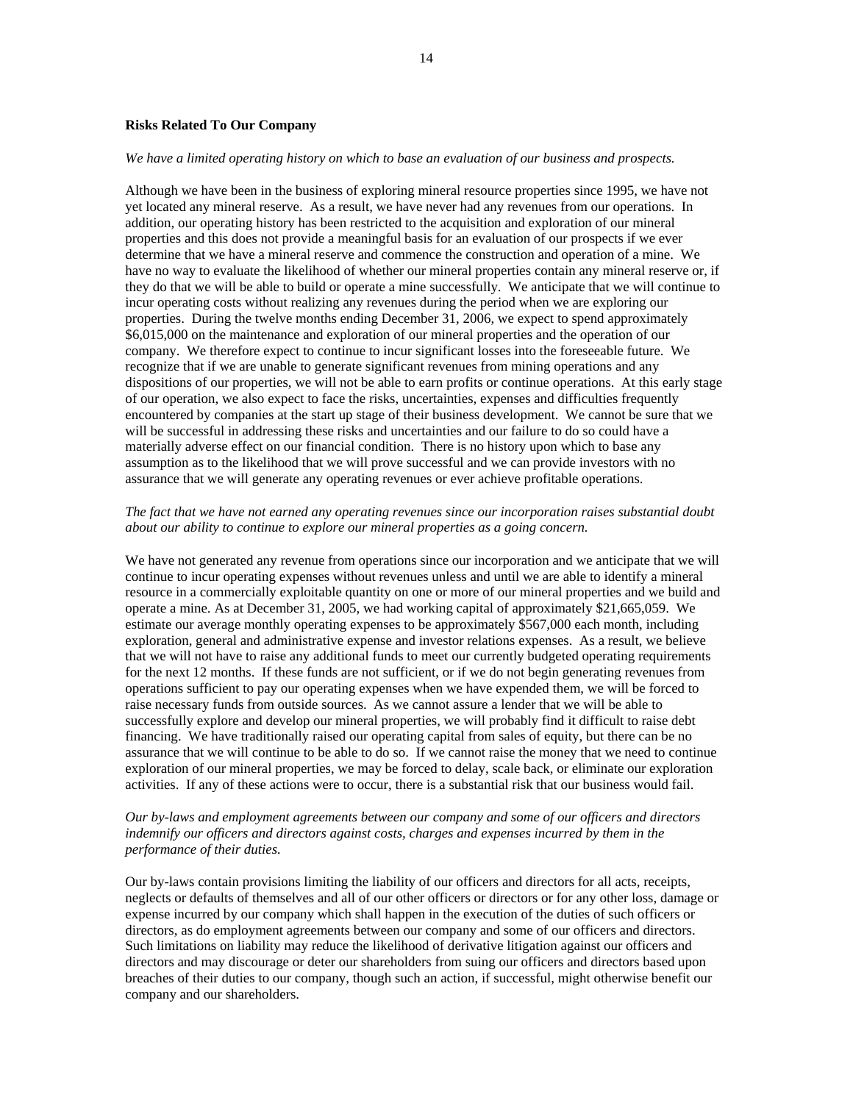#### **Risks Related To Our Company**

#### *We have a limited operating history on which to base an evaluation of our business and prospects.*

Although we have been in the business of exploring mineral resource properties since 1995, we have not yet located any mineral reserve. As a result, we have never had any revenues from our operations. In addition, our operating history has been restricted to the acquisition and exploration of our mineral properties and this does not provide a meaningful basis for an evaluation of our prospects if we ever determine that we have a mineral reserve and commence the construction and operation of a mine. We have no way to evaluate the likelihood of whether our mineral properties contain any mineral reserve or, if they do that we will be able to build or operate a mine successfully. We anticipate that we will continue to incur operating costs without realizing any revenues during the period when we are exploring our properties. During the twelve months ending December 31, 2006, we expect to spend approximately \$6,015,000 on the maintenance and exploration of our mineral properties and the operation of our company. We therefore expect to continue to incur significant losses into the foreseeable future. We recognize that if we are unable to generate significant revenues from mining operations and any dispositions of our properties, we will not be able to earn profits or continue operations. At this early stage of our operation, we also expect to face the risks, uncertainties, expenses and difficulties frequently encountered by companies at the start up stage of their business development. We cannot be sure that we will be successful in addressing these risks and uncertainties and our failure to do so could have a materially adverse effect on our financial condition. There is no history upon which to base any assumption as to the likelihood that we will prove successful and we can provide investors with no assurance that we will generate any operating revenues or ever achieve profitable operations.

# *The fact that we have not earned any operating revenues since our incorporation raises substantial doubt about our ability to continue to explore our mineral properties as a going concern.*

We have not generated any revenue from operations since our incorporation and we anticipate that we will continue to incur operating expenses without revenues unless and until we are able to identify a mineral resource in a commercially exploitable quantity on one or more of our mineral properties and we build and operate a mine. As at December 31, 2005, we had working capital of approximately \$21,665,059. We estimate our average monthly operating expenses to be approximately \$567,000 each month, including exploration, general and administrative expense and investor relations expenses. As a result, we believe that we will not have to raise any additional funds to meet our currently budgeted operating requirements for the next 12 months. If these funds are not sufficient, or if we do not begin generating revenues from operations sufficient to pay our operating expenses when we have expended them, we will be forced to raise necessary funds from outside sources. As we cannot assure a lender that we will be able to successfully explore and develop our mineral properties, we will probably find it difficult to raise debt financing. We have traditionally raised our operating capital from sales of equity, but there can be no assurance that we will continue to be able to do so. If we cannot raise the money that we need to continue exploration of our mineral properties, we may be forced to delay, scale back, or eliminate our exploration activities. If any of these actions were to occur, there is a substantial risk that our business would fail.

# *Our by-laws and employment agreements between our company and some of our officers and directors indemnify our officers and directors against costs, charges and expenses incurred by them in the performance of their duties.*

Our by-laws contain provisions limiting the liability of our officers and directors for all acts, receipts, neglects or defaults of themselves and all of our other officers or directors or for any other loss, damage or expense incurred by our company which shall happen in the execution of the duties of such officers or directors, as do employment agreements between our company and some of our officers and directors. Such limitations on liability may reduce the likelihood of derivative litigation against our officers and directors and may discourage or deter our shareholders from suing our officers and directors based upon breaches of their duties to our company, though such an action, if successful, might otherwise benefit our company and our shareholders.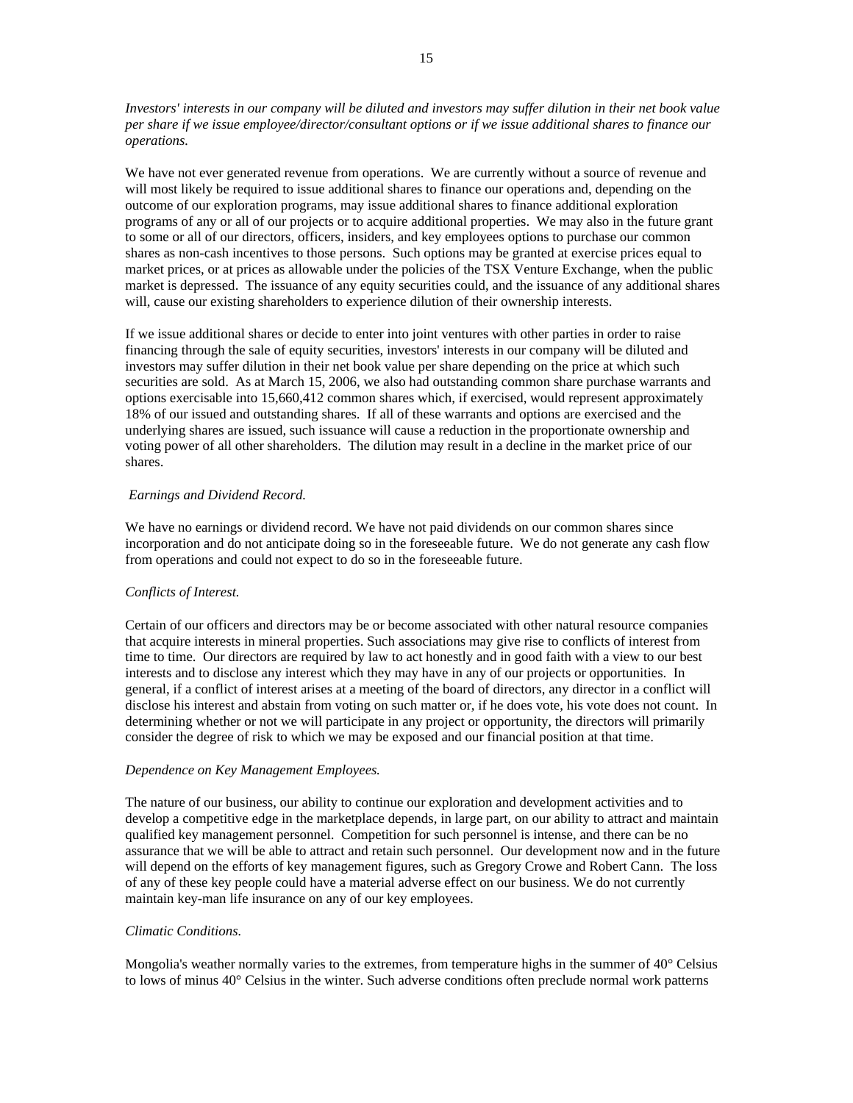*Investors' interests in our company will be diluted and investors may suffer dilution in their net book value per share if we issue employee/director/consultant options or if we issue additional shares to finance our operations.* 

We have not ever generated revenue from operations. We are currently without a source of revenue and will most likely be required to issue additional shares to finance our operations and, depending on the outcome of our exploration programs, may issue additional shares to finance additional exploration programs of any or all of our projects or to acquire additional properties. We may also in the future grant to some or all of our directors, officers, insiders, and key employees options to purchase our common shares as non-cash incentives to those persons. Such options may be granted at exercise prices equal to market prices, or at prices as allowable under the policies of the TSX Venture Exchange, when the public market is depressed. The issuance of any equity securities could, and the issuance of any additional shares will, cause our existing shareholders to experience dilution of their ownership interests.

If we issue additional shares or decide to enter into joint ventures with other parties in order to raise financing through the sale of equity securities, investors' interests in our company will be diluted and investors may suffer dilution in their net book value per share depending on the price at which such securities are sold. As at March 15, 2006, we also had outstanding common share purchase warrants and options exercisable into 15,660,412 common shares which, if exercised, would represent approximately 18% of our issued and outstanding shares. If all of these warrants and options are exercised and the underlying shares are issued, such issuance will cause a reduction in the proportionate ownership and voting power of all other shareholders. The dilution may result in a decline in the market price of our shares.

#### *Earnings and Dividend Record.*

We have no earnings or dividend record. We have not paid dividends on our common shares since incorporation and do not anticipate doing so in the foreseeable future. We do not generate any cash flow from operations and could not expect to do so in the foreseeable future.

#### *Conflicts of Interest.*

Certain of our officers and directors may be or become associated with other natural resource companies that acquire interests in mineral properties. Such associations may give rise to conflicts of interest from time to time. Our directors are required by law to act honestly and in good faith with a view to our best interests and to disclose any interest which they may have in any of our projects or opportunities. In general, if a conflict of interest arises at a meeting of the board of directors, any director in a conflict will disclose his interest and abstain from voting on such matter or, if he does vote, his vote does not count. In determining whether or not we will participate in any project or opportunity, the directors will primarily consider the degree of risk to which we may be exposed and our financial position at that time.

#### *Dependence on Key Management Employees.*

The nature of our business, our ability to continue our exploration and development activities and to develop a competitive edge in the marketplace depends, in large part, on our ability to attract and maintain qualified key management personnel. Competition for such personnel is intense, and there can be no assurance that we will be able to attract and retain such personnel. Our development now and in the future will depend on the efforts of key management figures, such as Gregory Crowe and Robert Cann. The loss of any of these key people could have a material adverse effect on our business. We do not currently maintain key-man life insurance on any of our key employees.

#### *Climatic Conditions.*

Mongolia's weather normally varies to the extremes, from temperature highs in the summer of 40° Celsius to lows of minus 40° Celsius in the winter. Such adverse conditions often preclude normal work patterns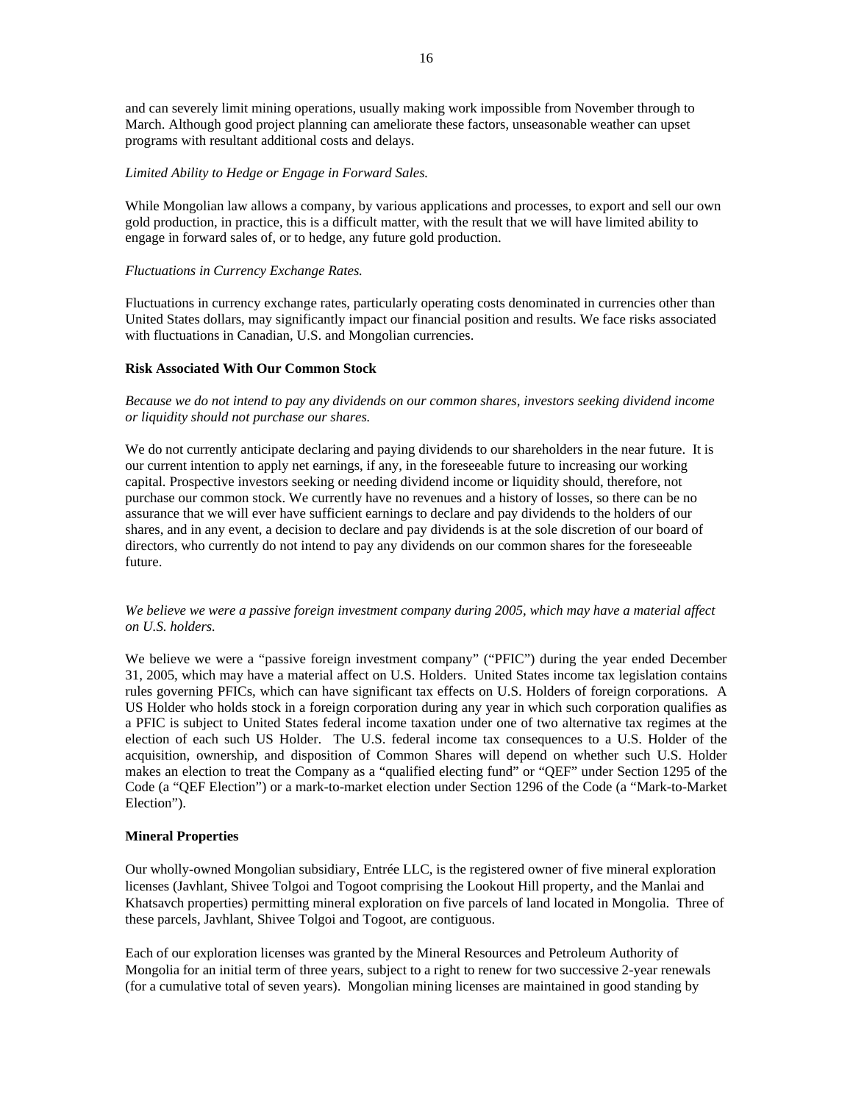and can severely limit mining operations, usually making work impossible from November through to March. Although good project planning can ameliorate these factors, unseasonable weather can upset programs with resultant additional costs and delays.

# *Limited Ability to Hedge or Engage in Forward Sales.*

While Mongolian law allows a company, by various applications and processes, to export and sell our own gold production, in practice, this is a difficult matter, with the result that we will have limited ability to engage in forward sales of, or to hedge, any future gold production.

#### *Fluctuations in Currency Exchange Rates.*

Fluctuations in currency exchange rates, particularly operating costs denominated in currencies other than United States dollars, may significantly impact our financial position and results. We face risks associated with fluctuations in Canadian, U.S. and Mongolian currencies.

# **Risk Associated With Our Common Stock**

*Because we do not intend to pay any dividends on our common shares, investors seeking dividend income or liquidity should not purchase our shares.* 

We do not currently anticipate declaring and paying dividends to our shareholders in the near future. It is our current intention to apply net earnings, if any, in the foreseeable future to increasing our working capital. Prospective investors seeking or needing dividend income or liquidity should, therefore, not purchase our common stock. We currently have no revenues and a history of losses, so there can be no assurance that we will ever have sufficient earnings to declare and pay dividends to the holders of our shares, and in any event, a decision to declare and pay dividends is at the sole discretion of our board of directors, who currently do not intend to pay any dividends on our common shares for the foreseeable future.

# *We believe we were a passive foreign investment company during 2005, which may have a material affect on U.S. holders.*

We believe we were a "passive foreign investment company" ("PFIC") during the year ended December 31, 2005, which may have a material affect on U.S. Holders. United States income tax legislation contains rules governing PFICs, which can have significant tax effects on U.S. Holders of foreign corporations. A US Holder who holds stock in a foreign corporation during any year in which such corporation qualifies as a PFIC is subject to United States federal income taxation under one of two alternative tax regimes at the election of each such US Holder. The U.S. federal income tax consequences to a U.S. Holder of the acquisition, ownership, and disposition of Common Shares will depend on whether such U.S. Holder makes an election to treat the Company as a "qualified electing fund" or "QEF" under Section 1295 of the Code (a "QEF Election") or a mark-to-market election under Section 1296 of the Code (a "Mark-to-Market Election").

#### **Mineral Properties**

Our wholly-owned Mongolian subsidiary, Entrée LLC, is the registered owner of five mineral exploration licenses (Javhlant, Shivee Tolgoi and Togoot comprising the Lookout Hill property, and the Manlai and Khatsavch properties) permitting mineral exploration on five parcels of land located in Mongolia. Three of these parcels, Javhlant, Shivee Tolgoi and Togoot, are contiguous.

Each of our exploration licenses was granted by the Mineral Resources and Petroleum Authority of Mongolia for an initial term of three years, subject to a right to renew for two successive 2-year renewals (for a cumulative total of seven years). Mongolian mining licenses are maintained in good standing by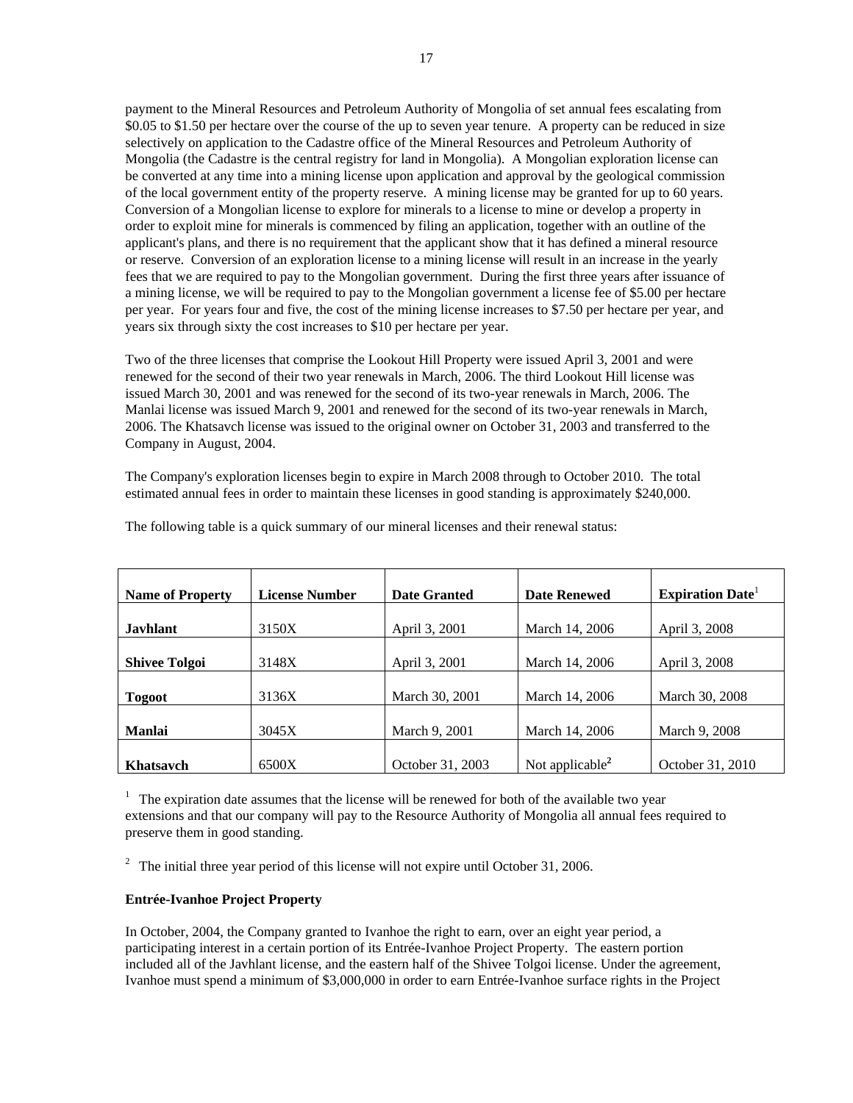payment to the Mineral Resources and Petroleum Authority of Mongolia of set annual fees escalating from \$0.05 to \$1.50 per hectare over the course of the up to seven year tenure. A property can be reduced in size selectively on application to the Cadastre office of the Mineral Resources and Petroleum Authority of Mongolia (the Cadastre is the central registry for land in Mongolia). A Mongolian exploration license can be converted at any time into a mining license upon application and approval by the geological commission of the local government entity of the property reserve. A mining license may be granted for up to 60 years. Conversion of a Mongolian license to explore for minerals to a license to mine or develop a property in order to exploit mine for minerals is commenced by filing an application, together with an outline of the applicant's plans, and there is no requirement that the applicant show that it has defined a mineral resource or reserve. Conversion of an exploration license to a mining license will result in an increase in the yearly fees that we are required to pay to the Mongolian government. During the first three years after issuance of a mining license, we will be required to pay to the Mongolian government a license fee of \$5.00 per hectare per year. For years four and five, the cost of the mining license increases to \$7.50 per hectare per year, and years six through sixty the cost increases to \$10 per hectare per year.

Two of the three licenses that comprise the Lookout Hill Property were issued April 3, 2001 and were renewed for the second of their two year renewals in March, 2006. The third Lookout Hill license was issued March 30, 2001 and was renewed for the second of its two-year renewals in March, 2006. The Manlai license was issued March 9, 2001 and renewed for the second of its two-year renewals in March, 2006. The Khatsavch license was issued to the original owner on October 31, 2003 and transferred to the Company in August, 2004.

The Company's exploration licenses begin to expire in March 2008 through to October 2010. The total estimated annual fees in order to maintain these licenses in good standing is approximately \$240,000.

| <b>Name of Property</b> | <b>License Number</b> | <b>Date Granted</b> | <b>Date Renewed</b> | <b>Expiration Date</b> |
|-------------------------|-----------------------|---------------------|---------------------|------------------------|
| <b>Javhlant</b>         | 3150X                 | April 3, 2001       | March 14, 2006      | April 3, 2008          |
| <b>Shivee Tolgoi</b>    | 3148X                 | April 3, 2001       | March 14, 2006      | April 3, 2008          |
| <b>Togoot</b>           | 3136X                 | March 30, 2001      | March 14, 2006      | March 30, 2008         |
| <b>Manlai</b>           | 3045X                 | March 9, 2001       | March 14, 2006      | March 9, 2008          |
| <b>Khatsavch</b>        | 6500X                 | October 31, 2003    | Not applicable $2$  | October 31, 2010       |

The following table is a quick summary of our mineral licenses and their renewal status:

 $1$  The expiration date assumes that the license will be renewed for both of the available two year extensions and that our company will pay to the Resource Authority of Mongolia all annual fees required to preserve them in good standing.

 $2\degree$  The initial three year period of this license will not expire until October 31, 2006.

#### **Entrée-Ivanhoe Project Property**

In October, 2004, the Company granted to Ivanhoe the right to earn, over an eight year period, a participating interest in a certain portion of its Entrée-Ivanhoe Project Property. The eastern portion included all of the Javhlant license, and the eastern half of the Shivee Tolgoi license. Under the agreement, Ivanhoe must spend a minimum of \$3,000,000 in order to earn Entrée-Ivanhoe surface rights in the Project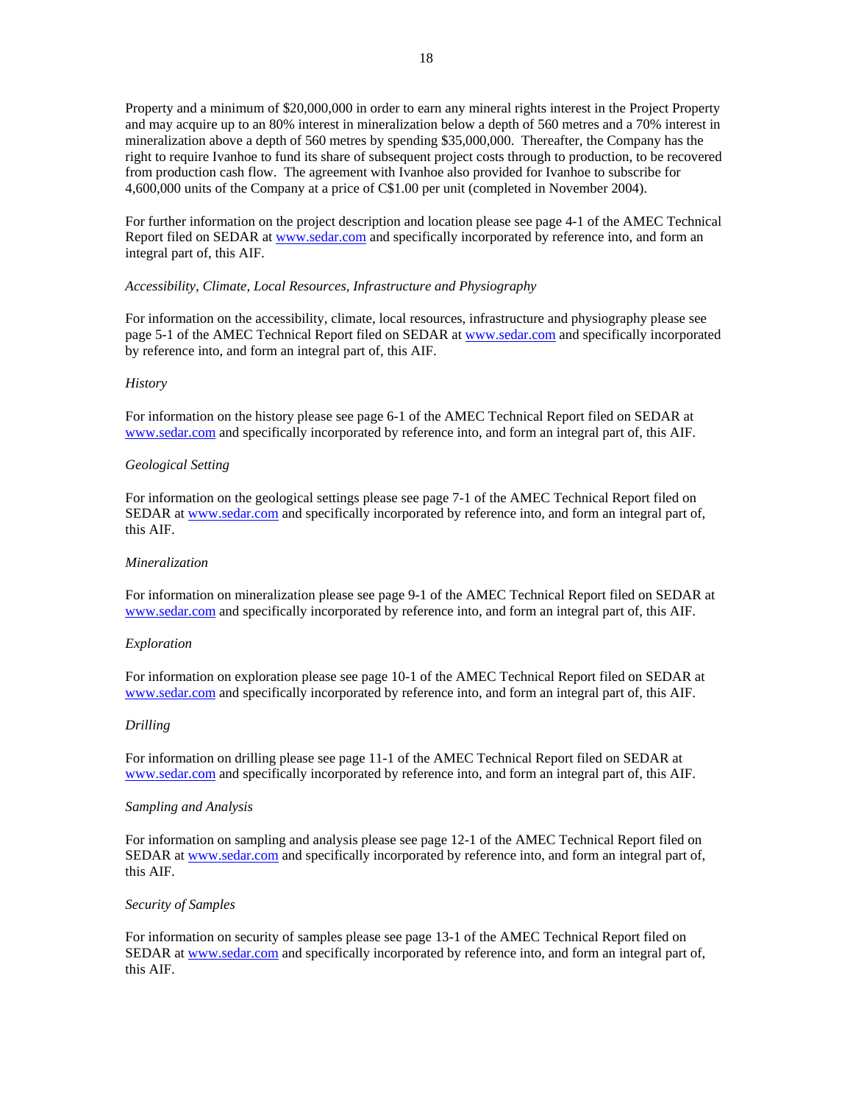Property and a minimum of \$20,000,000 in order to earn any mineral rights interest in the Project Property and may acquire up to an 80% interest in mineralization below a depth of 560 metres and a 70% interest in mineralization above a depth of 560 metres by spending \$35,000,000. Thereafter, the Company has the right to require Ivanhoe to fund its share of subsequent project costs through to production, to be recovered from production cash flow. The agreement with Ivanhoe also provided for Ivanhoe to subscribe for 4,600,000 units of the Company at a price of C\$1.00 per unit (completed in November 2004).

For further information on the project description and location please see page 4-1 of the AMEC Technical Report filed on SEDAR at www.sedar.com and specifically incorporated by reference into, and form an integral part of, this AIF.

# *Accessibility, Climate, Local Resources, Infrastructure and Physiography*

For information on the accessibility, climate, local resources, infrastructure and physiography please see page 5-1 of the AMEC Technical Report filed on SEDAR at www.sedar.com and specifically incorporated by reference into, and form an integral part of, this AIF.

#### *History*

For information on the history please see page 6-1 of the AMEC Technical Report filed on SEDAR at www.sedar.com and specifically incorporated by reference into, and form an integral part of, this AIF.

#### *Geological Setting*

For information on the geological settings please see page 7-1 of the AMEC Technical Report filed on SEDAR at www.sedar.com and specifically incorporated by reference into, and form an integral part of, this AIF.

#### *Mineralization*

For information on mineralization please see page 9-1 of the AMEC Technical Report filed on SEDAR at www.sedar.com and specifically incorporated by reference into, and form an integral part of, this AIF.

#### *Exploration*

For information on exploration please see page 10-1 of the AMEC Technical Report filed on SEDAR at www.sedar.com and specifically incorporated by reference into, and form an integral part of, this AIF.

#### *Drilling*

For information on drilling please see page 11-1 of the AMEC Technical Report filed on SEDAR at www.sedar.com and specifically incorporated by reference into, and form an integral part of, this AIF.

#### *Sampling and Analysis*

For information on sampling and analysis please see page 12-1 of the AMEC Technical Report filed on SEDAR at www.sedar.com and specifically incorporated by reference into, and form an integral part of, this AIF.

#### *Security of Samples*

For information on security of samples please see page 13-1 of the AMEC Technical Report filed on SEDAR at www.sedar.com and specifically incorporated by reference into, and form an integral part of, this AIF.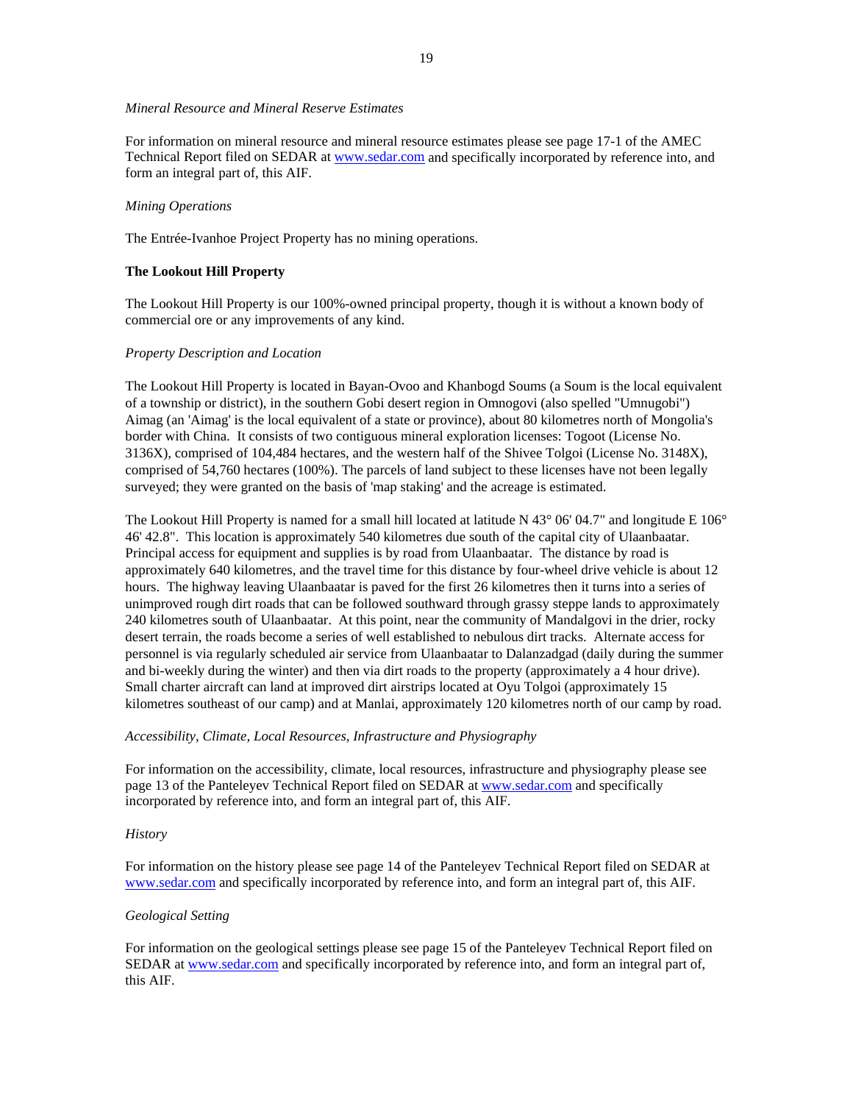# *Mineral Resource and Mineral Reserve Estimates*

For information on mineral resource and mineral resource estimates please see page 17-1 of the AMEC Technical Report filed on SEDAR at www.sedar.com and specifically incorporated by reference into, and form an integral part of, this AIF.

#### *Mining Operations*

The Entrée-Ivanhoe Project Property has no mining operations.

# **The Lookout Hill Property**

The Lookout Hill Property is our 100%-owned principal property, though it is without a known body of commercial ore or any improvements of any kind.

#### *Property Description and Location*

The Lookout Hill Property is located in Bayan-Ovoo and Khanbogd Soums (a Soum is the local equivalent of a township or district), in the southern Gobi desert region in Omnogovi (also spelled "Umnugobi") Aimag (an 'Aimag' is the local equivalent of a state or province), about 80 kilometres north of Mongolia's border with China. It consists of two contiguous mineral exploration licenses: Togoot (License No. 3136X), comprised of 104,484 hectares, and the western half of the Shivee Tolgoi (License No. 3148X), comprised of 54,760 hectares (100%). The parcels of land subject to these licenses have not been legally surveyed; they were granted on the basis of 'map staking' and the acreage is estimated.

The Lookout Hill Property is named for a small hill located at latitude N 43° 06' 04.7" and longitude E 106° 46' 42.8". This location is approximately 540 kilometres due south of the capital city of Ulaanbaatar. Principal access for equipment and supplies is by road from Ulaanbaatar. The distance by road is approximately 640 kilometres, and the travel time for this distance by four-wheel drive vehicle is about 12 hours. The highway leaving Ulaanbaatar is paved for the first 26 kilometres then it turns into a series of unimproved rough dirt roads that can be followed southward through grassy steppe lands to approximately 240 kilometres south of Ulaanbaatar. At this point, near the community of Mandalgovi in the drier, rocky desert terrain, the roads become a series of well established to nebulous dirt tracks. Alternate access for personnel is via regularly scheduled air service from Ulaanbaatar to Dalanzadgad (daily during the summer and bi-weekly during the winter) and then via dirt roads to the property (approximately a 4 hour drive). Small charter aircraft can land at improved dirt airstrips located at Oyu Tolgoi (approximately 15 kilometres southeast of our camp) and at Manlai, approximately 120 kilometres north of our camp by road.

# *Accessibility, Climate, Local Resources, Infrastructure and Physiography*

For information on the accessibility, climate, local resources, infrastructure and physiography please see page 13 of the Panteleyev Technical Report filed on SEDAR at www.sedar.com and specifically incorporated by reference into, and form an integral part of, this AIF.

#### *History*

For information on the history please see page 14 of the Panteleyev Technical Report filed on SEDAR at www.sedar.com and specifically incorporated by reference into, and form an integral part of, this AIF.

#### *Geological Setting*

For information on the geological settings please see page 15 of the Panteleyev Technical Report filed on SEDAR at www.sedar.com and specifically incorporated by reference into, and form an integral part of, this AIF.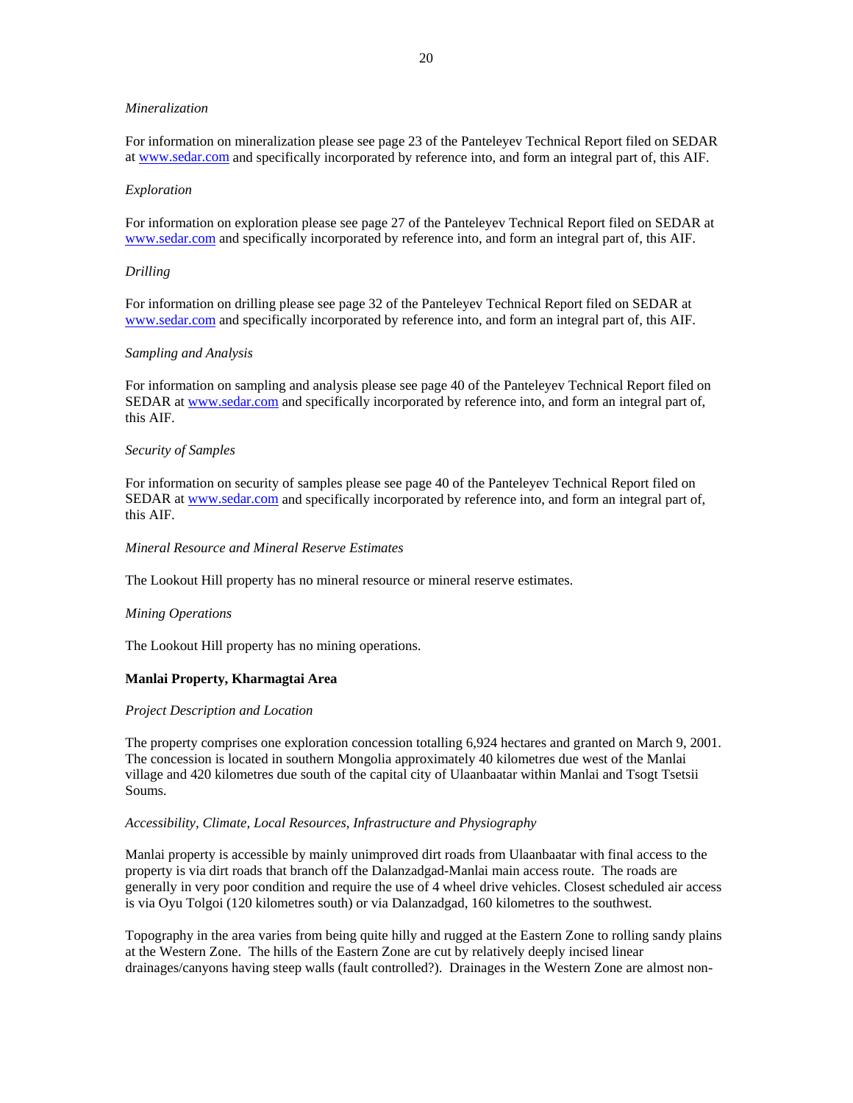### *Mineralization*

For information on mineralization please see page 23 of the Panteleyev Technical Report filed on SEDAR at www.sedar.com and specifically incorporated by reference into, and form an integral part of, this AIF.

#### *Exploration*

For information on exploration please see page 27 of the Panteleyev Technical Report filed on SEDAR at www.sedar.com and specifically incorporated by reference into, and form an integral part of, this AIF.

#### *Drilling*

For information on drilling please see page 32 of the Panteleyev Technical Report filed on SEDAR at www.sedar.com and specifically incorporated by reference into, and form an integral part of, this AIF.

#### *Sampling and Analysis*

For information on sampling and analysis please see page 40 of the Panteleyev Technical Report filed on SEDAR at www.sedar.com and specifically incorporated by reference into, and form an integral part of, this AIF.

#### *Security of Samples*

For information on security of samples please see page 40 of the Panteleyev Technical Report filed on SEDAR at www.sedar.com and specifically incorporated by reference into, and form an integral part of, this AIF.

#### *Mineral Resource and Mineral Reserve Estimates*

The Lookout Hill property has no mineral resource or mineral reserve estimates.

#### *Mining Operations*

The Lookout Hill property has no mining operations.

# **Manlai Property, Kharmagtai Area**

#### *Project Description and Location*

The property comprises one exploration concession totalling 6,924 hectares and granted on March 9, 2001. The concession is located in southern Mongolia approximately 40 kilometres due west of the Manlai village and 420 kilometres due south of the capital city of Ulaanbaatar within Manlai and Tsogt Tsetsii Soums.

#### *Accessibility, Climate, Local Resources, Infrastructure and Physiography*

Manlai property is accessible by mainly unimproved dirt roads from Ulaanbaatar with final access to the property is via dirt roads that branch off the Dalanzadgad-Manlai main access route. The roads are generally in very poor condition and require the use of 4 wheel drive vehicles. Closest scheduled air access is via Oyu Tolgoi (120 kilometres south) or via Dalanzadgad, 160 kilometres to the southwest.

Topography in the area varies from being quite hilly and rugged at the Eastern Zone to rolling sandy plains at the Western Zone. The hills of the Eastern Zone are cut by relatively deeply incised linear drainages/canyons having steep walls (fault controlled?). Drainages in the Western Zone are almost non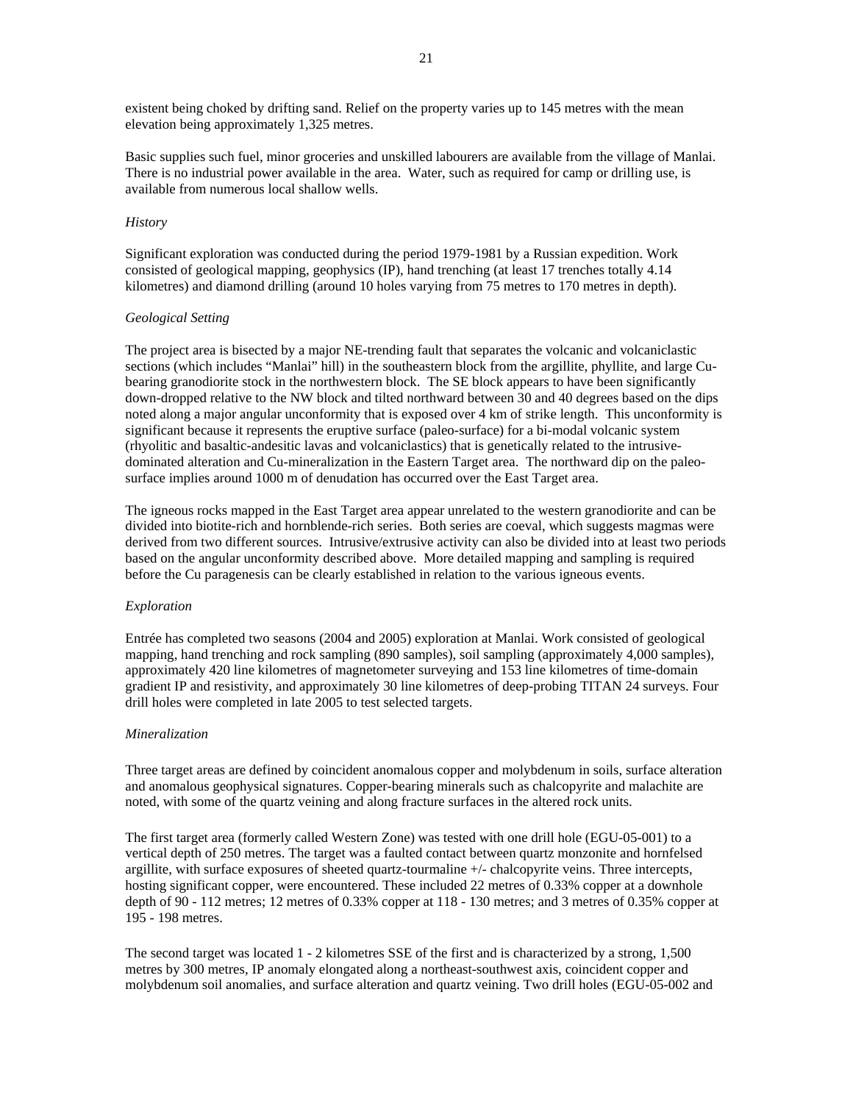existent being choked by drifting sand. Relief on the property varies up to 145 metres with the mean elevation being approximately 1,325 metres.

Basic supplies such fuel, minor groceries and unskilled labourers are available from the village of Manlai. There is no industrial power available in the area. Water, such as required for camp or drilling use, is available from numerous local shallow wells.

# *History*

Significant exploration was conducted during the period 1979-1981 by a Russian expedition. Work consisted of geological mapping, geophysics (IP), hand trenching (at least 17 trenches totally 4.14 kilometres) and diamond drilling (around 10 holes varying from 75 metres to 170 metres in depth).

# *Geological Setting*

The project area is bisected by a major NE-trending fault that separates the volcanic and volcaniclastic sections (which includes "Manlai" hill) in the southeastern block from the argillite, phyllite, and large Cubearing granodiorite stock in the northwestern block. The SE block appears to have been significantly down-dropped relative to the NW block and tilted northward between 30 and 40 degrees based on the dips noted along a major angular unconformity that is exposed over 4 km of strike length. This unconformity is significant because it represents the eruptive surface (paleo-surface) for a bi-modal volcanic system (rhyolitic and basaltic-andesitic lavas and volcaniclastics) that is genetically related to the intrusivedominated alteration and Cu-mineralization in the Eastern Target area. The northward dip on the paleosurface implies around 1000 m of denudation has occurred over the East Target area.

The igneous rocks mapped in the East Target area appear unrelated to the western granodiorite and can be divided into biotite-rich and hornblende-rich series. Both series are coeval, which suggests magmas were derived from two different sources. Intrusive/extrusive activity can also be divided into at least two periods based on the angular unconformity described above. More detailed mapping and sampling is required before the Cu paragenesis can be clearly established in relation to the various igneous events.

#### *Exploration*

Entrée has completed two seasons (2004 and 2005) exploration at Manlai. Work consisted of geological mapping, hand trenching and rock sampling (890 samples), soil sampling (approximately 4,000 samples), approximately 420 line kilometres of magnetometer surveying and 153 line kilometres of time-domain gradient IP and resistivity, and approximately 30 line kilometres of deep-probing TITAN 24 surveys. Four drill holes were completed in late 2005 to test selected targets.

#### *Mineralization*

Three target areas are defined by coincident anomalous copper and molybdenum in soils, surface alteration and anomalous geophysical signatures. Copper-bearing minerals such as chalcopyrite and malachite are noted, with some of the quartz veining and along fracture surfaces in the altered rock units.

The first target area (formerly called Western Zone) was tested with one drill hole (EGU-05-001) to a vertical depth of 250 metres. The target was a faulted contact between quartz monzonite and hornfelsed argillite, with surface exposures of sheeted quartz-tourmaline +/- chalcopyrite veins. Three intercepts, hosting significant copper, were encountered. These included 22 metres of 0.33% copper at a downhole depth of 90 - 112 metres; 12 metres of 0.33% copper at 118 - 130 metres; and 3 metres of 0.35% copper at 195 - 198 metres.

The second target was located 1 - 2 kilometres SSE of the first and is characterized by a strong, 1,500 metres by 300 metres, IP anomaly elongated along a northeast-southwest axis, coincident copper and molybdenum soil anomalies, and surface alteration and quartz veining. Two drill holes (EGU-05-002 and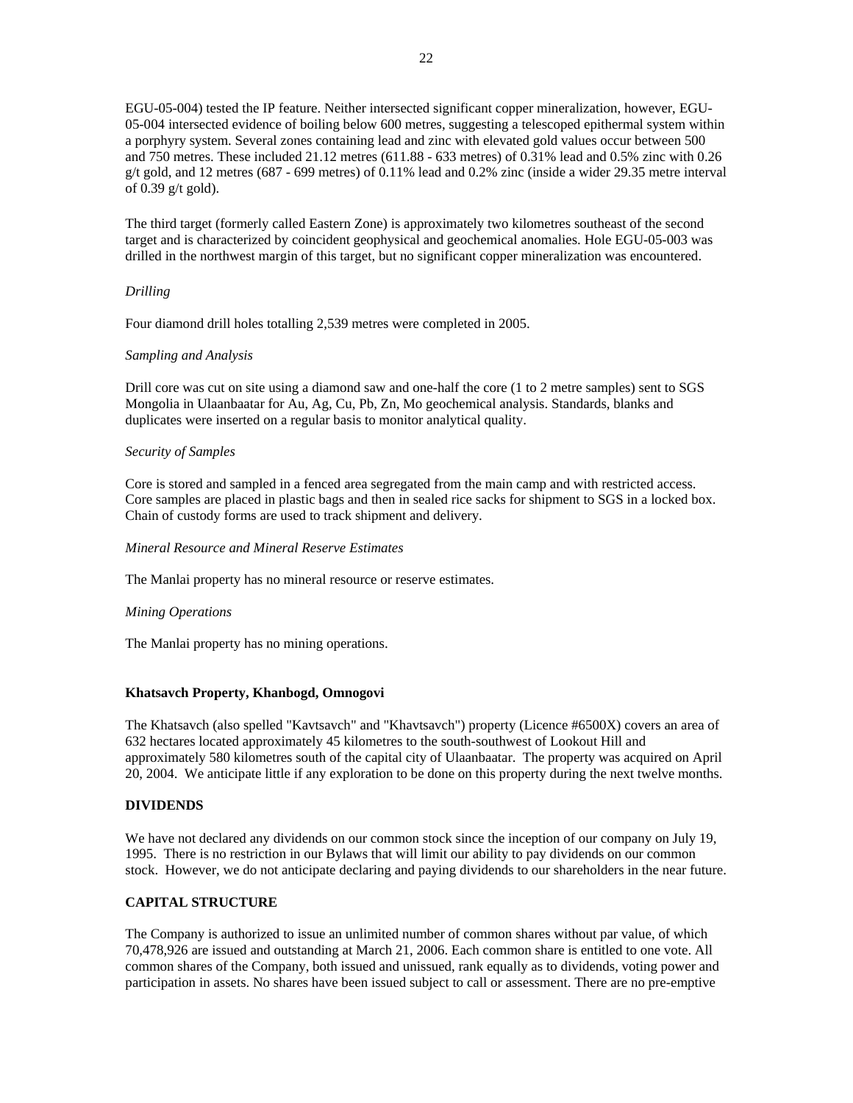EGU-05-004) tested the IP feature. Neither intersected significant copper mineralization, however, EGU-05-004 intersected evidence of boiling below 600 metres, suggesting a telescoped epithermal system within a porphyry system. Several zones containing lead and zinc with elevated gold values occur between 500 and 750 metres. These included 21.12 metres (611.88 - 633 metres) of 0.31% lead and 0.5% zinc with 0.26 g/t gold, and 12 metres (687 - 699 metres) of 0.11% lead and 0.2% zinc (inside a wider 29.35 metre interval of 0.39 g/t gold).

The third target (formerly called Eastern Zone) is approximately two kilometres southeast of the second target and is characterized by coincident geophysical and geochemical anomalies. Hole EGU-05-003 was drilled in the northwest margin of this target, but no significant copper mineralization was encountered.

# *Drilling*

Four diamond drill holes totalling 2,539 metres were completed in 2005.

# *Sampling and Analysis*

Drill core was cut on site using a diamond saw and one-half the core (1 to 2 metre samples) sent to SGS Mongolia in Ulaanbaatar for Au, Ag, Cu, Pb, Zn, Mo geochemical analysis. Standards, blanks and duplicates were inserted on a regular basis to monitor analytical quality.

# *Security of Samples*

Core is stored and sampled in a fenced area segregated from the main camp and with restricted access. Core samples are placed in plastic bags and then in sealed rice sacks for shipment to SGS in a locked box. Chain of custody forms are used to track shipment and delivery.

# *Mineral Resource and Mineral Reserve Estimates*

The Manlai property has no mineral resource or reserve estimates.

# *Mining Operations*

The Manlai property has no mining operations.

# **Khatsavch Property, Khanbogd, Omnogovi**

The Khatsavch (also spelled "Kavtsavch" and "Khavtsavch") property (Licence #6500X) covers an area of 632 hectares located approximately 45 kilometres to the south-southwest of Lookout Hill and approximately 580 kilometres south of the capital city of Ulaanbaatar. The property was acquired on April 20, 2004. We anticipate little if any exploration to be done on this property during the next twelve months.

# **DIVIDENDS**

We have not declared any dividends on our common stock since the inception of our company on July 19, 1995. There is no restriction in our Bylaws that will limit our ability to pay dividends on our common stock. However, we do not anticipate declaring and paying dividends to our shareholders in the near future.

# **CAPITAL STRUCTURE**

The Company is authorized to issue an unlimited number of common shares without par value, of which 70,478,926 are issued and outstanding at March 21, 2006. Each common share is entitled to one vote. All common shares of the Company, both issued and unissued, rank equally as to dividends, voting power and participation in assets. No shares have been issued subject to call or assessment. There are no pre-emptive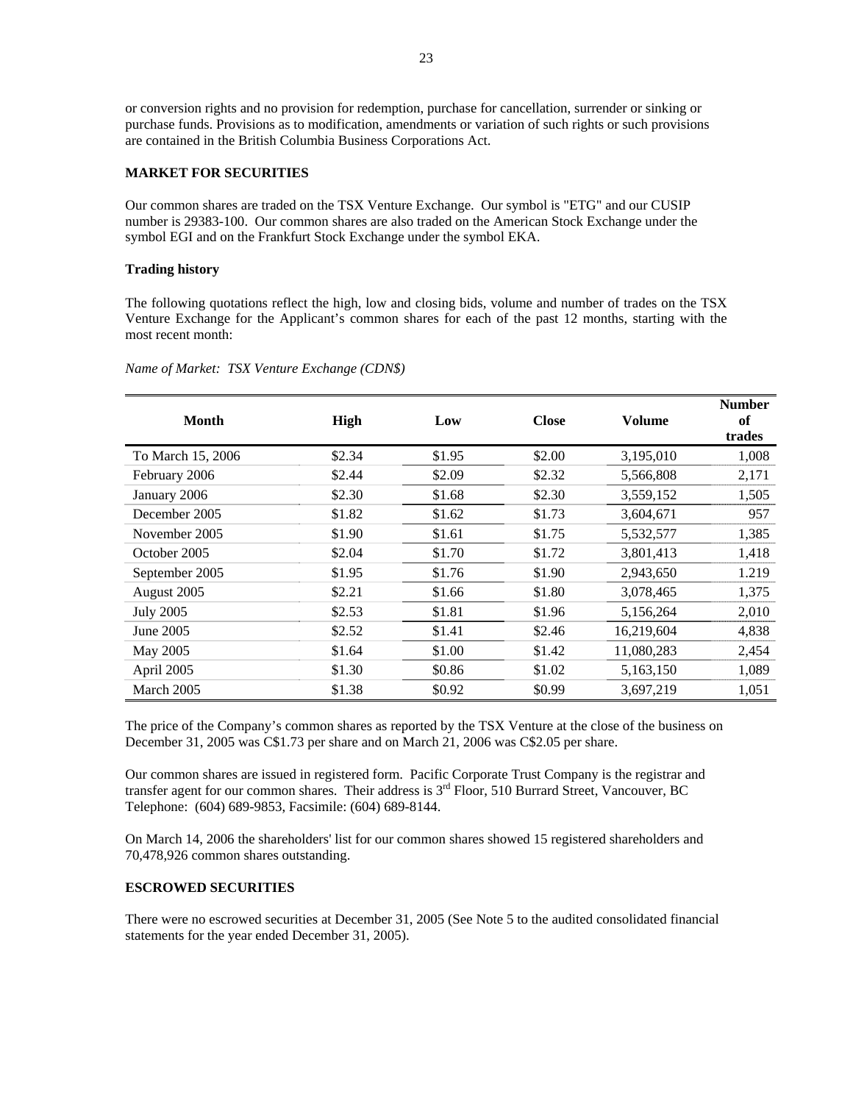or conversion rights and no provision for redemption, purchase for cancellation, surrender or sinking or purchase funds. Provisions as to modification, amendments or variation of such rights or such provisions are contained in the British Columbia Business Corporations Act.

# **MARKET FOR SECURITIES**

Our common shares are traded on the TSX Venture Exchange. Our symbol is "ETG" and our CUSIP number is 29383-100. Our common shares are also traded on the American Stock Exchange under the symbol EGI and on the Frankfurt Stock Exchange under the symbol EKA.

### **Trading history**

The following quotations reflect the high, low and closing bids, volume and number of trades on the TSX Venture Exchange for the Applicant's common shares for each of the past 12 months, starting with the most recent month:

| Month             | High   | Low    | <b>Close</b> | Volume     | <b>Number</b><br>of<br>trades |
|-------------------|--------|--------|--------------|------------|-------------------------------|
| To March 15, 2006 | \$2.34 | \$1.95 | \$2.00       | 3,195,010  | 1,008                         |
| February 2006     | \$2.44 | \$2.09 | \$2.32       | 5,566,808  | 2,171                         |
| January 2006      | \$2.30 | \$1.68 | \$2.30       | 3,559,152  | 1,505                         |
| December 2005     | \$1.82 | \$1.62 | \$1.73       | 3,604,671  | 957                           |
| November 2005     | \$1.90 | \$1.61 | \$1.75       | 5,532,577  | 1,385                         |
| October 2005      | \$2.04 | \$1.70 | \$1.72       | 3,801,413  | 1,418                         |
| September 2005    | \$1.95 | \$1.76 | \$1.90       | 2,943,650  | 1.219                         |
| August 2005       | \$2.21 | \$1.66 | \$1.80       | 3,078,465  | 1,375                         |
| <b>July 2005</b>  | \$2.53 | \$1.81 | \$1.96       | 5,156,264  | 2,010                         |
| June 2005         | \$2.52 | \$1.41 | \$2.46       | 16,219,604 | 4,838                         |
| May 2005          | \$1.64 | \$1.00 | \$1.42       | 11,080,283 | 2,454                         |
| April 2005        | \$1.30 | \$0.86 | \$1.02       | 5,163,150  | 1,089                         |
| March 2005        | \$1.38 | \$0.92 | \$0.99       | 3,697,219  | 1,051                         |

*Name of Market: TSX Venture Exchange (CDN\$)* 

The price of the Company's common shares as reported by the TSX Venture at the close of the business on December 31, 2005 was C\$1.73 per share and on March 21, 2006 was C\$2.05 per share.

Our common shares are issued in registered form. Pacific Corporate Trust Company is the registrar and transfer agent for our common shares. Their address is  $3<sup>rd</sup>$  Floor, 510 Burrard Street, Vancouver, BC Telephone: (604) 689-9853, Facsimile: (604) 689-8144.

On March 14, 2006 the shareholders' list for our common shares showed 15 registered shareholders and 70,478,926 common shares outstanding.

# **ESCROWED SECURITIES**

There were no escrowed securities at December 31, 2005 (See Note 5 to the audited consolidated financial statements for the year ended December 31, 2005).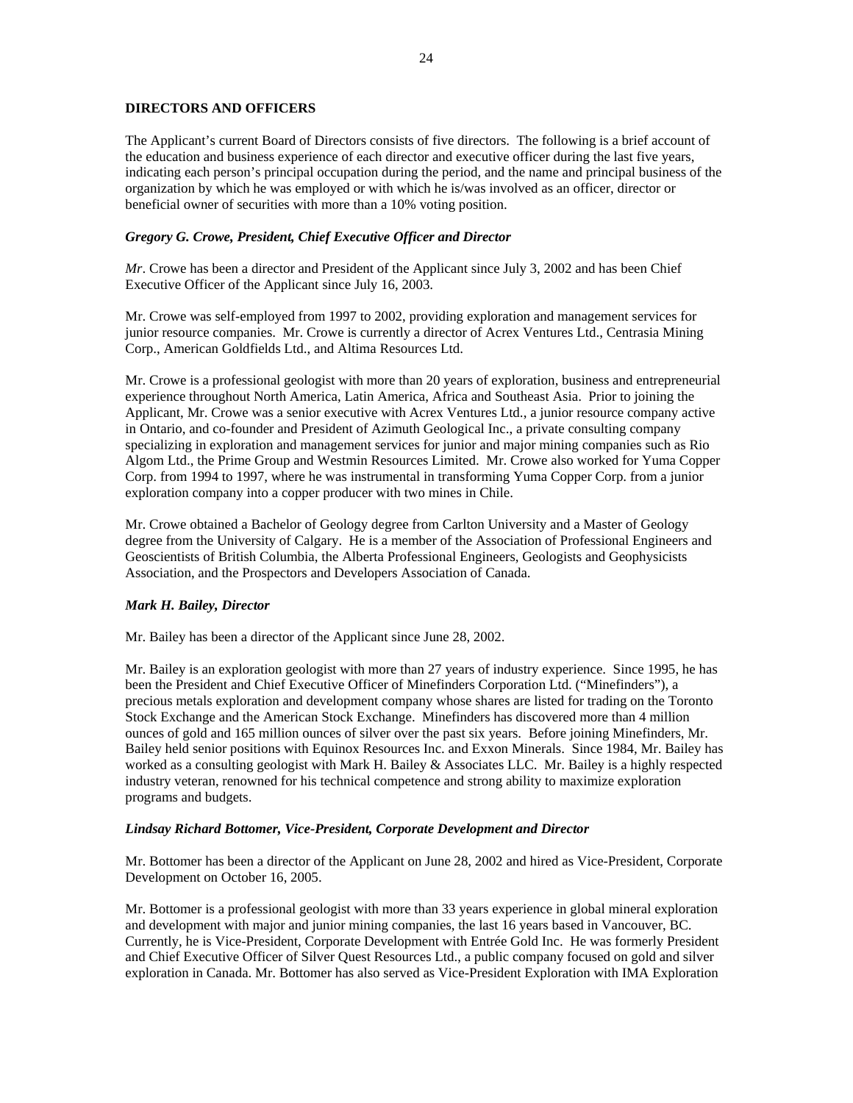# **DIRECTORS AND OFFICERS**

The Applicant's current Board of Directors consists of five directors. The following is a brief account of the education and business experience of each director and executive officer during the last five years, indicating each person's principal occupation during the period, and the name and principal business of the organization by which he was employed or with which he is/was involved as an officer, director or beneficial owner of securities with more than a 10% voting position.

# *Gregory G. Crowe, President, Chief Executive Officer and Director*

*Mr*. Crowe has been a director and President of the Applicant since July 3, 2002 and has been Chief Executive Officer of the Applicant since July 16, 2003.

Mr. Crowe was self-employed from 1997 to 2002, providing exploration and management services for junior resource companies. Mr. Crowe is currently a director of Acrex Ventures Ltd., Centrasia Mining Corp., American Goldfields Ltd., and Altima Resources Ltd.

Mr. Crowe is a professional geologist with more than 20 years of exploration, business and entrepreneurial experience throughout North America, Latin America, Africa and Southeast Asia. Prior to joining the Applicant, Mr. Crowe was a senior executive with Acrex Ventures Ltd., a junior resource company active in Ontario, and co-founder and President of Azimuth Geological Inc., a private consulting company specializing in exploration and management services for junior and major mining companies such as Rio Algom Ltd., the Prime Group and Westmin Resources Limited. Mr. Crowe also worked for Yuma Copper Corp. from 1994 to 1997, where he was instrumental in transforming Yuma Copper Corp. from a junior exploration company into a copper producer with two mines in Chile.

Mr. Crowe obtained a Bachelor of Geology degree from Carlton University and a Master of Geology degree from the University of Calgary. He is a member of the Association of Professional Engineers and Geoscientists of British Columbia, the Alberta Professional Engineers, Geologists and Geophysicists Association, and the Prospectors and Developers Association of Canada.

# *Mark H. Bailey, Director*

Mr. Bailey has been a director of the Applicant since June 28, 2002.

Mr. Bailey is an exploration geologist with more than 27 years of industry experience. Since 1995, he has been the President and Chief Executive Officer of Minefinders Corporation Ltd. ("Minefinders"), a precious metals exploration and development company whose shares are listed for trading on the Toronto Stock Exchange and the American Stock Exchange. Minefinders has discovered more than 4 million ounces of gold and 165 million ounces of silver over the past six years. Before joining Minefinders, Mr. Bailey held senior positions with Equinox Resources Inc. and Exxon Minerals. Since 1984, Mr. Bailey has worked as a consulting geologist with Mark H. Bailey & Associates LLC. Mr. Bailey is a highly respected industry veteran, renowned for his technical competence and strong ability to maximize exploration programs and budgets.

# *Lindsay Richard Bottomer, Vice-President, Corporate Development and Director*

Mr. Bottomer has been a director of the Applicant on June 28, 2002 and hired as Vice-President, Corporate Development on October 16, 2005.

Mr. Bottomer is a professional geologist with more than 33 years experience in global mineral exploration and development with major and junior mining companies, the last 16 years based in Vancouver, BC. Currently, he is Vice-President, Corporate Development with Entrée Gold Inc. He was formerly President and Chief Executive Officer of Silver Quest Resources Ltd., a public company focused on gold and silver exploration in Canada. Mr. Bottomer has also served as Vice-President Exploration with IMA Exploration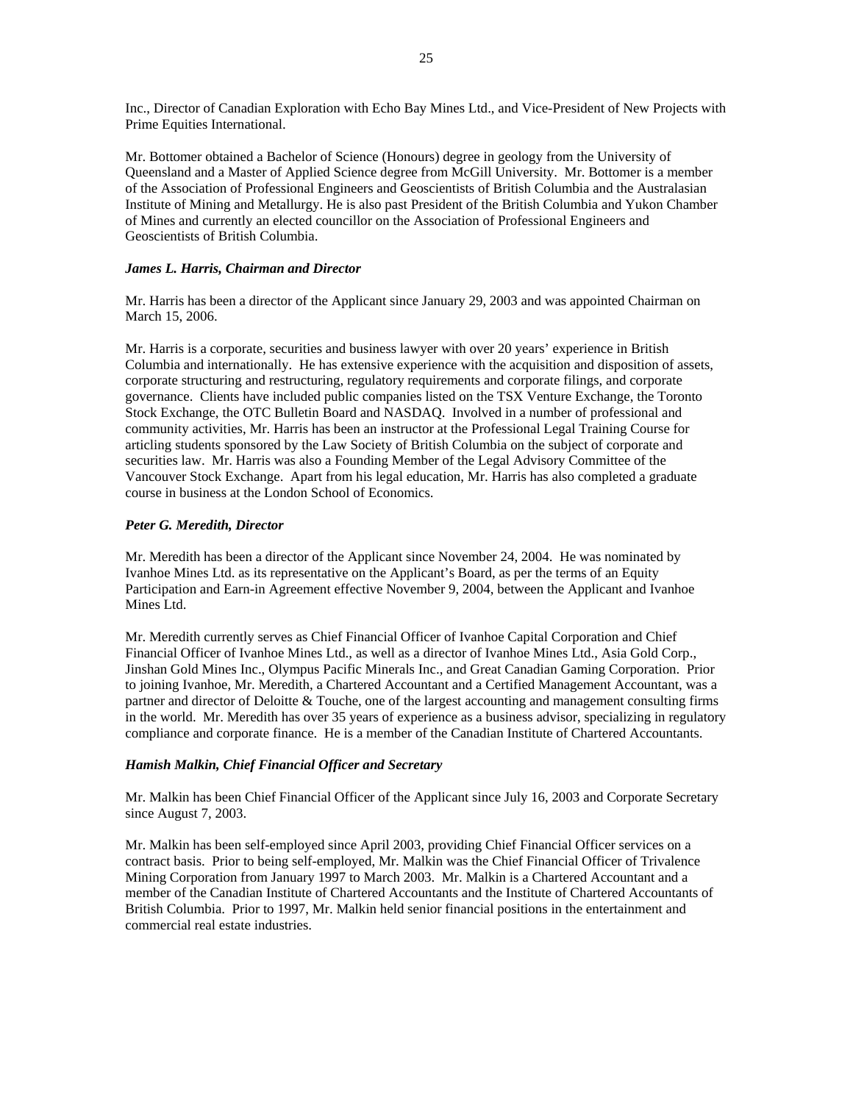Inc., Director of Canadian Exploration with Echo Bay Mines Ltd., and Vice-President of New Projects with Prime Equities International.

Mr. Bottomer obtained a Bachelor of Science (Honours) degree in geology from the University of Queensland and a Master of Applied Science degree from McGill University. Mr. Bottomer is a member of the Association of Professional Engineers and Geoscientists of British Columbia and the Australasian Institute of Mining and Metallurgy. He is also past President of the British Columbia and Yukon Chamber of Mines and currently an elected councillor on the Association of Professional Engineers and Geoscientists of British Columbia.

# *James L. Harris, Chairman and Director*

Mr. Harris has been a director of the Applicant since January 29, 2003 and was appointed Chairman on March 15, 2006.

Mr. Harris is a corporate, securities and business lawyer with over 20 years' experience in British Columbia and internationally. He has extensive experience with the acquisition and disposition of assets, corporate structuring and restructuring, regulatory requirements and corporate filings, and corporate governance. Clients have included public companies listed on the TSX Venture Exchange, the Toronto Stock Exchange, the OTC Bulletin Board and NASDAQ. Involved in a number of professional and community activities, Mr. Harris has been an instructor at the Professional Legal Training Course for articling students sponsored by the Law Society of British Columbia on the subject of corporate and securities law. Mr. Harris was also a Founding Member of the Legal Advisory Committee of the Vancouver Stock Exchange. Apart from his legal education, Mr. Harris has also completed a graduate course in business at the London School of Economics.

# *Peter G. Meredith, Director*

Mr. Meredith has been a director of the Applicant since November 24, 2004. He was nominated by Ivanhoe Mines Ltd. as its representative on the Applicant's Board, as per the terms of an Equity Participation and Earn-in Agreement effective November 9, 2004, between the Applicant and Ivanhoe Mines Ltd.

Mr. Meredith currently serves as Chief Financial Officer of Ivanhoe Capital Corporation and Chief Financial Officer of Ivanhoe Mines Ltd., as well as a director of Ivanhoe Mines Ltd., Asia Gold Corp., Jinshan Gold Mines Inc., Olympus Pacific Minerals Inc., and Great Canadian Gaming Corporation. Prior to joining Ivanhoe, Mr. Meredith, a Chartered Accountant and a Certified Management Accountant, was a partner and director of Deloitte & Touche, one of the largest accounting and management consulting firms in the world. Mr. Meredith has over 35 years of experience as a business advisor, specializing in regulatory compliance and corporate finance. He is a member of the Canadian Institute of Chartered Accountants.

# *Hamish Malkin, Chief Financial Officer and Secretary*

Mr. Malkin has been Chief Financial Officer of the Applicant since July 16, 2003 and Corporate Secretary since August 7, 2003.

Mr. Malkin has been self-employed since April 2003, providing Chief Financial Officer services on a contract basis. Prior to being self-employed, Mr. Malkin was the Chief Financial Officer of Trivalence Mining Corporation from January 1997 to March 2003. Mr. Malkin is a Chartered Accountant and a member of the Canadian Institute of Chartered Accountants and the Institute of Chartered Accountants of British Columbia. Prior to 1997, Mr. Malkin held senior financial positions in the entertainment and commercial real estate industries.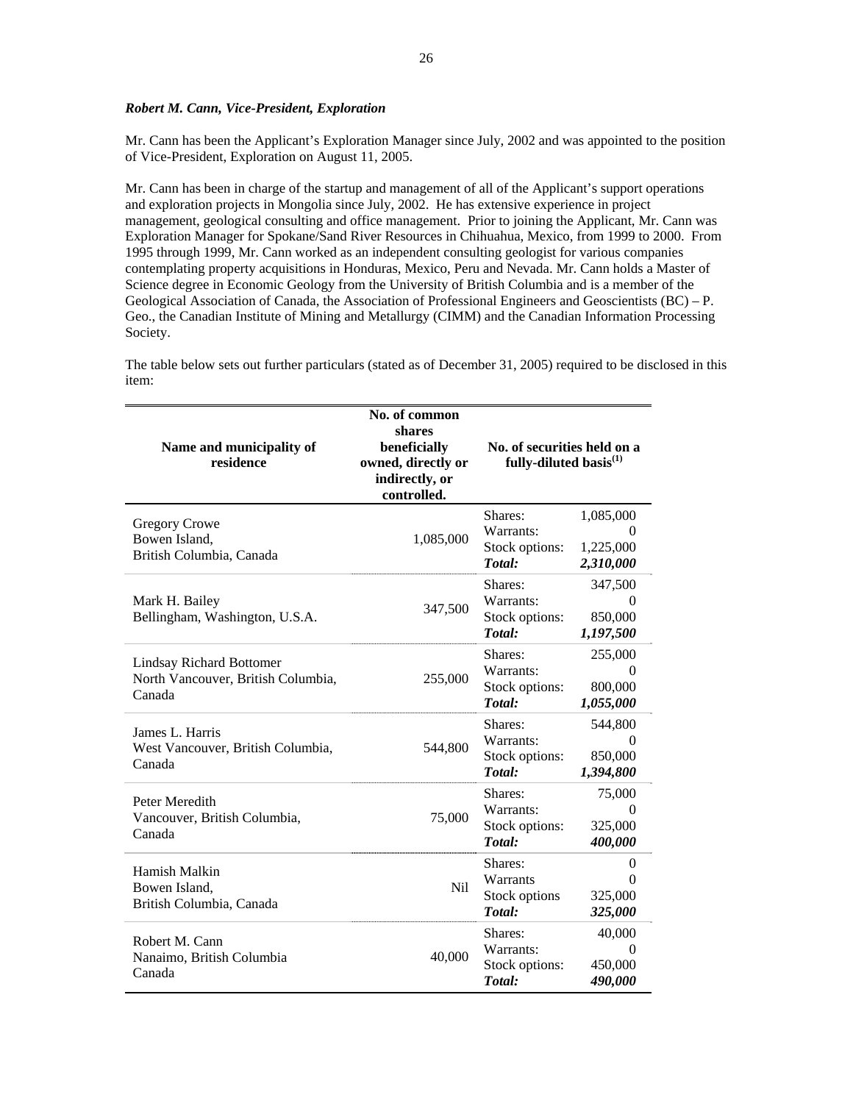# *Robert M. Cann, Vice-President, Exploration*

Mr. Cann has been the Applicant's Exploration Manager since July, 2002 and was appointed to the position of Vice-President, Exploration on August 11, 2005.

Mr. Cann has been in charge of the startup and management of all of the Applicant's support operations and exploration projects in Mongolia since July, 2002. He has extensive experience in project management, geological consulting and office management. Prior to joining the Applicant, Mr. Cann was Exploration Manager for Spokane/Sand River Resources in Chihuahua, Mexico, from 1999 to 2000. From 1995 through 1999, Mr. Cann worked as an independent consulting geologist for various companies contemplating property acquisitions in Honduras, Mexico, Peru and Nevada. Mr. Cann holds a Master of Science degree in Economic Geology from the University of British Columbia and is a member of the Geological Association of Canada, the Association of Professional Engineers and Geoscientists (BC) – P. Geo., the Canadian Institute of Mining and Metallurgy (CIMM) and the Canadian Information Processing Society.

The table below sets out further particulars (stated as of December 31, 2005) required to be disclosed in this item:

| Name and municipality of<br>residence                                           | No. of common<br>shares<br>beneficially<br>owned, directly or<br>indirectly, or<br>controlled. | No. of securities held on a<br>fully-diluted basis <sup>(1)</sup> |                                             |
|---------------------------------------------------------------------------------|------------------------------------------------------------------------------------------------|-------------------------------------------------------------------|---------------------------------------------|
| <b>Gregory Crowe</b><br>Bowen Island,<br>British Columbia, Canada               | 1,085,000                                                                                      | Shares:<br>Warrants:<br>Stock options:<br>Total:                  | 1,085,000<br>1,225,000<br>2,310,000         |
| Mark H. Bailey<br>Bellingham, Washington, U.S.A.                                | 347,500                                                                                        | Shares:<br>Warrants:<br>Stock options:<br>Total:                  | 347,500<br>$\theta$<br>850,000<br>1,197,500 |
| <b>Lindsay Richard Bottomer</b><br>North Vancouver, British Columbia,<br>Canada | 255,000                                                                                        | Shares:<br>Warrants:<br>Stock options:<br>Total:                  | 255,000<br>0<br>800,000<br>1,055,000        |
| James L. Harris<br>West Vancouver, British Columbia,<br>Canada                  | 544,800                                                                                        | Shares:<br>Warrants:<br>Stock options:<br>Total:                  | 544,800<br>$\theta$<br>850,000<br>1,394,800 |
| Peter Meredith<br>Vancouver, British Columbia,<br>Canada                        | 75,000                                                                                         | Shares:<br>Warrants:<br>Stock options:<br>Total:                  | 75,000<br>$\Omega$<br>325,000<br>400,000    |
| Hamish Malkin<br>Bowen Island,<br>British Columbia, Canada                      | Nil                                                                                            | Shares:<br>Warrants<br>Stock options<br>Total:                    | $\theta$<br>0<br>325,000<br>325,000         |
| Robert M. Cann<br>Nanaimo, British Columbia<br>Canada                           | 40,000                                                                                         | Shares:<br>Warrants:<br>Stock options:<br>Total:                  | 40,000<br>0<br>450,000<br>490,000           |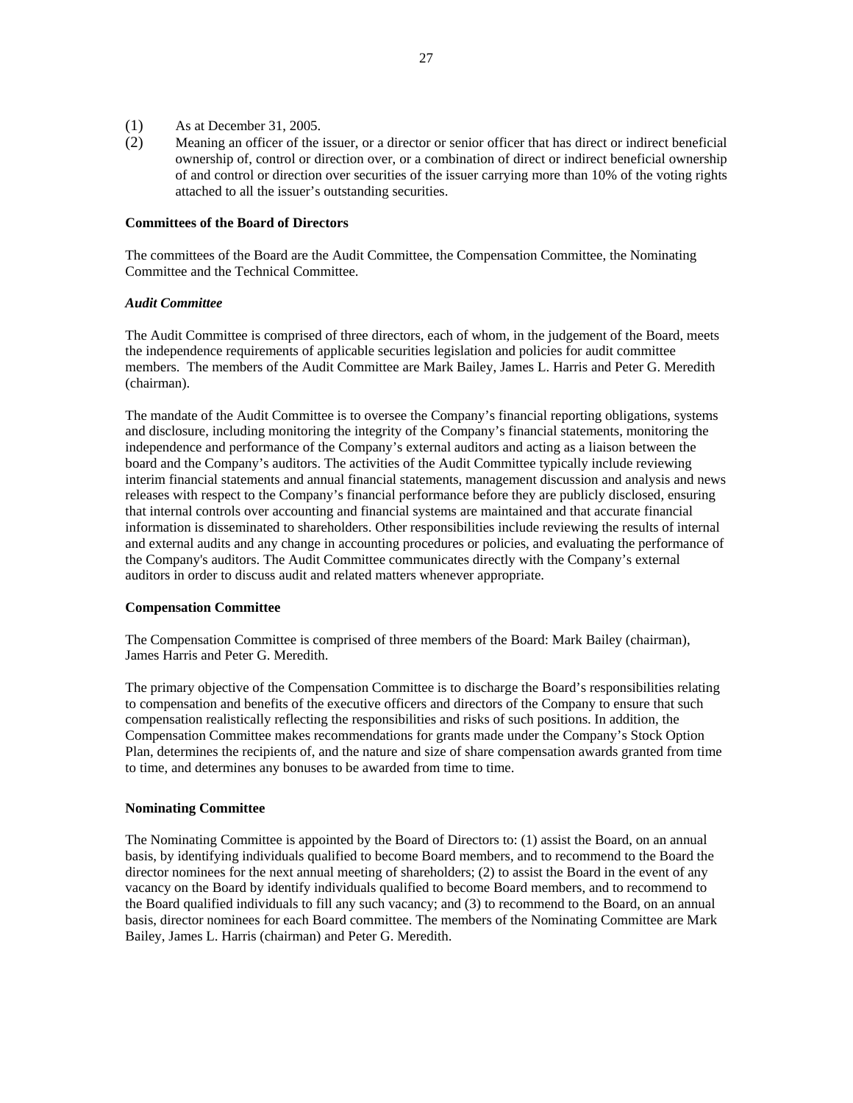- (1) As at December 31, 2005.
- (2) Meaning an officer of the issuer, or a director or senior officer that has direct or indirect beneficial ownership of, control or direction over, or a combination of direct or indirect beneficial ownership of and control or direction over securities of the issuer carrying more than 10% of the voting rights attached to all the issuer's outstanding securities.

#### **Committees of the Board of Directors**

The committees of the Board are the Audit Committee, the Compensation Committee, the Nominating Committee and the Technical Committee.

#### *Audit Committee*

The Audit Committee is comprised of three directors, each of whom, in the judgement of the Board, meets the independence requirements of applicable securities legislation and policies for audit committee members. The members of the Audit Committee are Mark Bailey, James L. Harris and Peter G. Meredith (chairman).

The mandate of the Audit Committee is to oversee the Company's financial reporting obligations, systems and disclosure, including monitoring the integrity of the Company's financial statements, monitoring the independence and performance of the Company's external auditors and acting as a liaison between the board and the Company's auditors. The activities of the Audit Committee typically include reviewing interim financial statements and annual financial statements, management discussion and analysis and news releases with respect to the Company's financial performance before they are publicly disclosed, ensuring that internal controls over accounting and financial systems are maintained and that accurate financial information is disseminated to shareholders. Other responsibilities include reviewing the results of internal and external audits and any change in accounting procedures or policies, and evaluating the performance of the Company's auditors. The Audit Committee communicates directly with the Company's external auditors in order to discuss audit and related matters whenever appropriate.

#### **Compensation Committee**

The Compensation Committee is comprised of three members of the Board: Mark Bailey (chairman), James Harris and Peter G. Meredith.

The primary objective of the Compensation Committee is to discharge the Board's responsibilities relating to compensation and benefits of the executive officers and directors of the Company to ensure that such compensation realistically reflecting the responsibilities and risks of such positions. In addition, the Compensation Committee makes recommendations for grants made under the Company's Stock Option Plan, determines the recipients of, and the nature and size of share compensation awards granted from time to time, and determines any bonuses to be awarded from time to time.

# **Nominating Committee**

The Nominating Committee is appointed by the Board of Directors to: (1) assist the Board, on an annual basis, by identifying individuals qualified to become Board members, and to recommend to the Board the director nominees for the next annual meeting of shareholders; (2) to assist the Board in the event of any vacancy on the Board by identify individuals qualified to become Board members, and to recommend to the Board qualified individuals to fill any such vacancy; and (3) to recommend to the Board, on an annual basis, director nominees for each Board committee. The members of the Nominating Committee are Mark Bailey, James L. Harris (chairman) and Peter G. Meredith.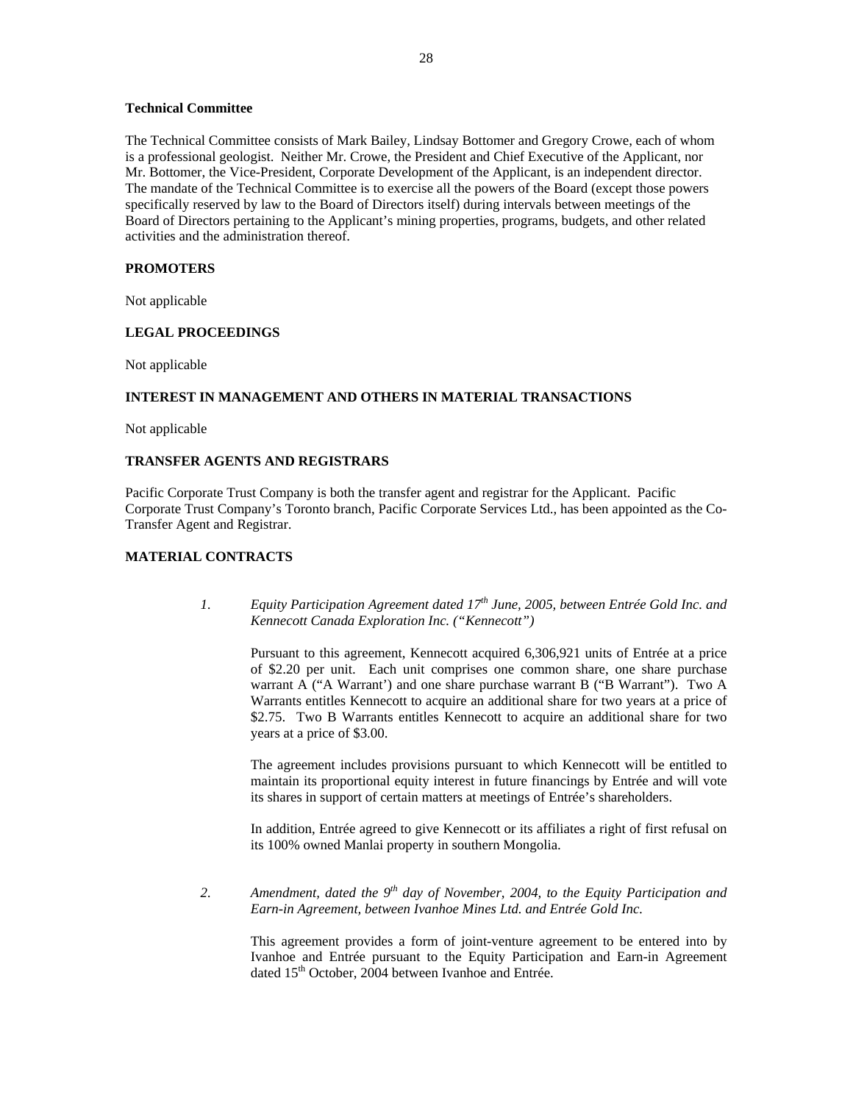# **Technical Committee**

The Technical Committee consists of Mark Bailey, Lindsay Bottomer and Gregory Crowe, each of whom is a professional geologist. Neither Mr. Crowe, the President and Chief Executive of the Applicant, nor Mr. Bottomer, the Vice-President, Corporate Development of the Applicant, is an independent director. The mandate of the Technical Committee is to exercise all the powers of the Board (except those powers specifically reserved by law to the Board of Directors itself) during intervals between meetings of the Board of Directors pertaining to the Applicant's mining properties, programs, budgets, and other related activities and the administration thereof.

# **PROMOTERS**

Not applicable

# **LEGAL PROCEEDINGS**

Not applicable

# **INTEREST IN MANAGEMENT AND OTHERS IN MATERIAL TRANSACTIONS**

Not applicable

# **TRANSFER AGENTS AND REGISTRARS**

Pacific Corporate Trust Company is both the transfer agent and registrar for the Applicant. Pacific Corporate Trust Company's Toronto branch, Pacific Corporate Services Ltd., has been appointed as the Co-Transfer Agent and Registrar.

# **MATERIAL CONTRACTS**

*1. Equity Participation Agreement dated 17th June, 2005, between Entrée Gold Inc. and Kennecott Canada Exploration Inc. ("Kennecott")* 

Pursuant to this agreement, Kennecott acquired 6,306,921 units of Entrée at a price of \$2.20 per unit. Each unit comprises one common share, one share purchase warrant A ("A Warrant') and one share purchase warrant B ("B Warrant"). Two A Warrants entitles Kennecott to acquire an additional share for two years at a price of \$2.75. Two B Warrants entitles Kennecott to acquire an additional share for two years at a price of \$3.00.

The agreement includes provisions pursuant to which Kennecott will be entitled to maintain its proportional equity interest in future financings by Entrée and will vote its shares in support of certain matters at meetings of Entrée's shareholders.

In addition, Entrée agreed to give Kennecott or its affiliates a right of first refusal on its 100% owned Manlai property in southern Mongolia.

*2. Amendment, dated the 9th day of November, 2004, to the Equity Participation and Earn-in Agreement, between Ivanhoe Mines Ltd. and Entrée Gold Inc.* 

This agreement provides a form of joint-venture agreement to be entered into by Ivanhoe and Entrée pursuant to the Equity Participation and Earn-in Agreement dated 15<sup>th</sup> October, 2004 between Ivanhoe and Entrée.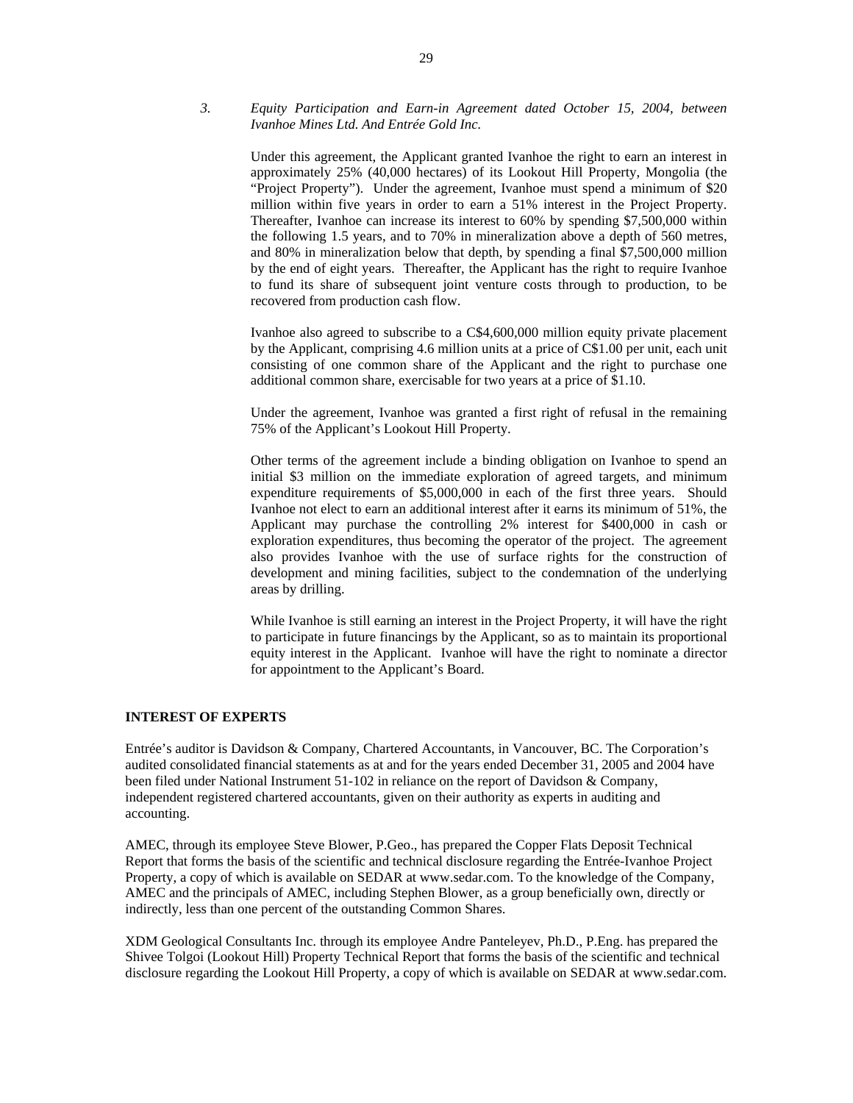# *3. Equity Participation and Earn-in Agreement dated October 15, 2004, between Ivanhoe Mines Ltd. And Entrée Gold Inc.*

Under this agreement, the Applicant granted Ivanhoe the right to earn an interest in approximately 25% (40,000 hectares) of its Lookout Hill Property, Mongolia (the "Project Property"). Under the agreement, Ivanhoe must spend a minimum of \$20 million within five years in order to earn a 51% interest in the Project Property. Thereafter, Ivanhoe can increase its interest to 60% by spending \$7,500,000 within the following 1.5 years, and to 70% in mineralization above a depth of 560 metres, and 80% in mineralization below that depth, by spending a final \$7,500,000 million by the end of eight years. Thereafter, the Applicant has the right to require Ivanhoe to fund its share of subsequent joint venture costs through to production, to be recovered from production cash flow.

Ivanhoe also agreed to subscribe to a C\$4,600,000 million equity private placement by the Applicant, comprising 4.6 million units at a price of C\$1.00 per unit, each unit consisting of one common share of the Applicant and the right to purchase one additional common share, exercisable for two years at a price of \$1.10.

Under the agreement, Ivanhoe was granted a first right of refusal in the remaining 75% of the Applicant's Lookout Hill Property.

Other terms of the agreement include a binding obligation on Ivanhoe to spend an initial \$3 million on the immediate exploration of agreed targets, and minimum expenditure requirements of \$5,000,000 in each of the first three years. Should Ivanhoe not elect to earn an additional interest after it earns its minimum of 51%, the Applicant may purchase the controlling 2% interest for \$400,000 in cash or exploration expenditures, thus becoming the operator of the project. The agreement also provides Ivanhoe with the use of surface rights for the construction of development and mining facilities, subject to the condemnation of the underlying areas by drilling.

While Ivanhoe is still earning an interest in the Project Property, it will have the right to participate in future financings by the Applicant, so as to maintain its proportional equity interest in the Applicant. Ivanhoe will have the right to nominate a director for appointment to the Applicant's Board.

# **INTEREST OF EXPERTS**

Entrée's auditor is Davidson & Company, Chartered Accountants, in Vancouver, BC. The Corporation's audited consolidated financial statements as at and for the years ended December 31, 2005 and 2004 have been filed under National Instrument 51-102 in reliance on the report of Davidson & Company, independent registered chartered accountants, given on their authority as experts in auditing and accounting.

AMEC, through its employee Steve Blower, P.Geo., has prepared the Copper Flats Deposit Technical Report that forms the basis of the scientific and technical disclosure regarding the Entrée-Ivanhoe Project Property, a copy of which is available on SEDAR at www.sedar.com. To the knowledge of the Company, AMEC and the principals of AMEC, including Stephen Blower, as a group beneficially own, directly or indirectly, less than one percent of the outstanding Common Shares.

XDM Geological Consultants Inc. through its employee Andre Panteleyev, Ph.D., P.Eng. has prepared the Shivee Tolgoi (Lookout Hill) Property Technical Report that forms the basis of the scientific and technical disclosure regarding the Lookout Hill Property, a copy of which is available on SEDAR at www.sedar.com.